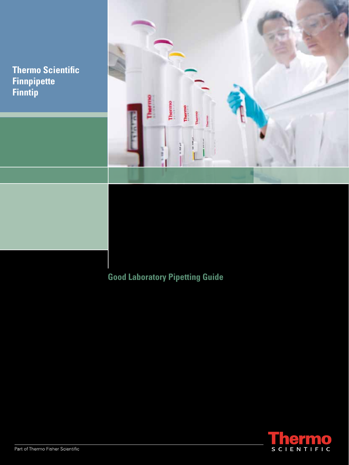**Thermo Scientific Finnpipette Finntip**



## **Good Laboratory Pipetting Guide**

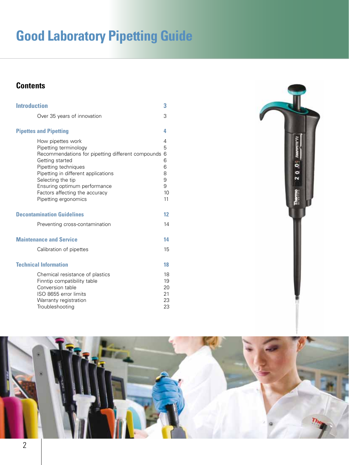# **Good Laboratory Pipetting Guide**

### **Contents**

| <b>Introduction</b>           |                                                                                                                                                                                                                                                                                                  | 3                                                |
|-------------------------------|--------------------------------------------------------------------------------------------------------------------------------------------------------------------------------------------------------------------------------------------------------------------------------------------------|--------------------------------------------------|
|                               | Over 35 years of innovation                                                                                                                                                                                                                                                                      | 3                                                |
| <b>Pipettes and Pipetting</b> |                                                                                                                                                                                                                                                                                                  | 4                                                |
|                               | How pipettes work<br>Pipetting terminology<br>Recommendations for pipetting different compounds<br>Getting started<br>Pipetting techniques<br>Pipetting in different applications<br>Selecting the tip<br>Ensuring optimum performance<br>Factors affecting the accuracy<br>Pipetting ergonomics | 4<br>5<br>6<br>6<br>6<br>8<br>9<br>9<br>10<br>11 |
|                               | <b>Decontamination Guidelines</b>                                                                                                                                                                                                                                                                | 12                                               |
|                               | Preventing cross-contamination                                                                                                                                                                                                                                                                   | 14                                               |
|                               | <b>Maintenance and Service</b>                                                                                                                                                                                                                                                                   | 14                                               |
|                               | Calibration of pipettes                                                                                                                                                                                                                                                                          | 15                                               |
| <b>Technical Information</b>  |                                                                                                                                                                                                                                                                                                  | 18                                               |
|                               | Chemical resistance of plastics<br>Finntip compatibility table<br>Conversion table<br>ISO 8655 error limits<br>Warranty registration<br>Troubleshooting                                                                                                                                          | 18<br>19<br>20<br>21<br>23<br>23                 |



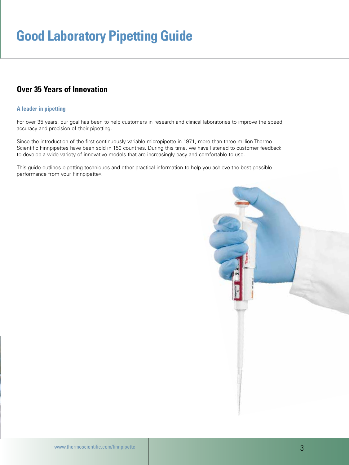### **Over 35 Years of Innovation**

### **A leader in pipetting**

For over 35 years, our goal has been to help customers in research and clinical laboratories to improve the speed, accuracy and precision of their pipetting.

Since the introduction of the first continuously variable micropipette in 1971, more than three million Thermo Scientific Finnpipettes have been sold in 150 countries. During this time, we have listened to customer feedback to develop a wide variety of innovative models that are increasingly easy and comfortable to use.

This guide outlines pipetting techniques and other practical information to help you achieve the best possible performance from your Finnpipette®.

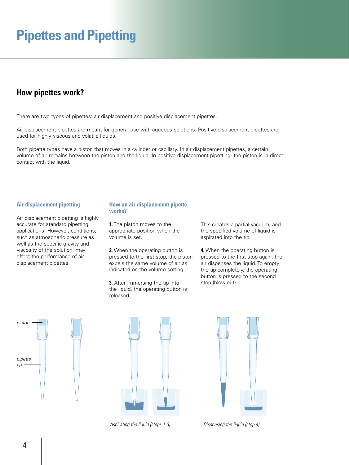### **How pipettes work?**

There are two types of pipettes: air displacement and positive displacement pipettes.

Air displacement pipettes are meant for general use with aqueous solutions. Positive displacement pipettes are used for highly viscous and volatile liquids.

Both pipette types have a piston that moves in a cylinder or capillary. In air displacement pipettes, a certain volume of air remains between the piston and the liquid. In positive displacement pipetting, the piston is in direct contact with the liquid.

#### **Air displacement pipetting**

Air displacement pipetting is highly accurate for standard pipetting applications. However, conditions, such as atmospheric pressure as well as the specific gravity and viscosity of the solution, may effect the performance of air displacement pipettes.

#### **How an air displacement pipette works?**

**1.** The piston moves to the appropriate position when the volume is set.

**2.** When the operating button is pressed to the first stop, the piston expels the same volume of air as indicated on the volume setting.

**3.** After immersing the tip into the liquid, the operating button is released.

This creates a partial vacuum, and the specified volume of liquid is aspirated into the tip.

**4.** When the operating button is pressed to the first stop again, the air dispenses the liquid. To empty the tip completely, the operating button is pressed to the second stop (blow-out).





*Aspirating the liquid (steps 1-3) Dispensing the liquid (step 4)*

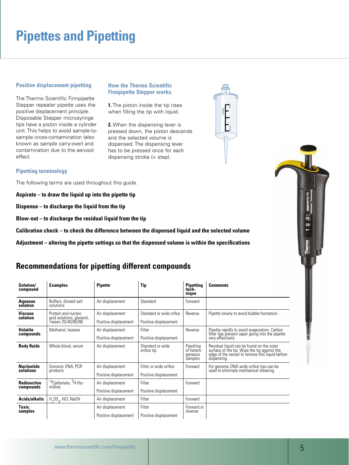### **Positive displacement pipetting**

The Thermo Scientific Finnpipette Stepper repeater pipette uses the positive displacement principle. Disposable Stepper microsyringe tips have a piston inside a cylinder unit. This helps to avoid sample-tosample cross-contamination (also known as sample carry-over) and contamination due to the aerosol effect.

### **How the Thermo Scientific Finnpipette Stepper works.**

**1.** The piston inside the tip rises when filling the tip with liquid.

**2.** When the dispensing lever is pressed down, the piston descends and the selected volume is dispensed. The dispensing lever has to be pressed once for each dispensing stroke (= step).



### **Pipetting terminology**

The following terms are used throughout this guide.

**Aspirate – to draw the liquid up into the pipette tip**

**Dispense – to discharge the liquid from the tip**

**Blow-out – to discharge the residual liquid from the tip**

**Calibration check – to check the difference between the dispensed liquid and the selected volume**

**Adjustment – altering the pipette settings so that the dispensed volume is within the specifications** 

### **Recommendations for pipetting different compounds**

| Solution/<br>compound           | <b>Examples</b>                                                       | <b>Pipette</b>                            | <b>Tip</b>                                       | <b>Pipetting</b><br>tech-<br>nique            | <b>Comments</b>                                                                                                                                          |
|---------------------------------|-----------------------------------------------------------------------|-------------------------------------------|--------------------------------------------------|-----------------------------------------------|----------------------------------------------------------------------------------------------------------------------------------------------------------|
| <b>Aqueous</b><br>solution      | Buffers, diluted salt<br>solutions                                    | Air displacement                          | Standard                                         | Forward                                       |                                                                                                                                                          |
| <b>Viscous</b><br>solution      | Protein and nucleic<br>acid solutions, glycerol,<br>Tween 20/40/60/80 | Air displacement<br>Positive displacement | Standard or wide orfice<br>Positive displacement | Reverse                                       | Pipette slowly to avoid bubble formation.                                                                                                                |
| <b>Volatile</b><br>compounds    | Methanol, hexane                                                      | Air displacement<br>Positive displacement | Filter<br>Positive displacement                  | Reverse                                       | Pipette rapidly to avoid evaporation. Carbon<br>filter tips prevent vapor going into the pipette<br>very effectively                                     |
| <b>Body fluids</b>              | Whole blood, serum                                                    | Air displacement                          | Standard or wide<br>orifice tip                  | Pipetting<br>of hetero-<br>geneous<br>samples | Residual liquid can be found on the outer<br>surface of the tip. Wipe the tip against the edge of the vessel to remove this liquid before<br>dispensing. |
| <b>Nucleotide</b><br>solutions  | Gonomic DNA, PCR<br>products                                          | Air displacement<br>Positive displacement | Filter or wide orifice<br>Positive displacement  | Forward                                       | For genomic DNA wide orifice tips can be<br>used to eliminate mechanical shearing.                                                                       |
| <b>Radioactive</b><br>compounds | <sup>14</sup> Carbonate, <sup>3</sup> H-thy-<br>midine                | Air displacement<br>Positive displacement | Filter<br>Positive displacement                  | Forward                                       |                                                                                                                                                          |
| Acids/alkalis                   | $H_2SO_A$ , HCI, NaOH                                                 | Air displacement                          | Filter                                           | Forward                                       |                                                                                                                                                          |
| Toxic<br>samples                |                                                                       | Air displacement<br>Positive displacement | Filter<br>Positive displacement                  | Forward or<br>reverse                         |                                                                                                                                                          |

ە<br>-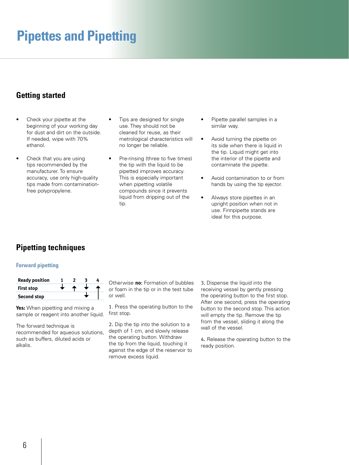### **Getting started**

- Check your pipette at the beginning of your working day for dust and dirt on the outside. If needed, wipe with 70% ethanol.
- Check that you are using tips recommended by the manufacturer. To ensure accuracy, use only high-quality tips made from contaminationfree polypropylene.
- Tips are designed for single use. They should not be cleaned for reuse, as their metrological characteristics will no longer be reliable.
- Pre-rinsing (three to five times) the tip with the liquid to be pipetted improves accuracy. This is especially important when pipetting volatile compounds since it prevents liquid from dripping out of the tip.
- Pipette parallel samples in a similar way.
- Avoid turning the pipette on its side when there is liquid in the tip. Liquid might get into the interior of the pipette and contaminate the pipette.
- Avoid contamination to or from hands by using the tip ejector.
- Always store pipettes in an upright position when not in use. Finnpipette stands are ideal for this purpose.

### **Pipetting techniques**

### **Forward pipetting**

| <b>Ready position</b> |  |  |
|-----------------------|--|--|
| <b>First stop</b>     |  |  |
| <b>Second stop</b>    |  |  |

**Yes:** When pipetting and mixing a sample or reagent into another liquid.

The forward technique is recommended for aqueous solutions, such as buffers, diluted acids or alkalis.

Otherwise **no**: Formation of bubbles or foam in the tip or in the test tube or well.

1. Press the operating button to the first stop.

2. Dip the tip into the solution to a depth of 1 cm, and slowly release the operating button. Withdraw the tip from the liquid, touching it against the edge of the reservoir to remove excess liquid.

3. Dispense the liquid into the receiving vessel by gently pressing the operating button to the first stop. After one second, press the operating button to the second stop. This action will empty the tip. Remove the tip from the vessel, sliding it along the wall of the vessel.

4. Release the operating button to the ready position.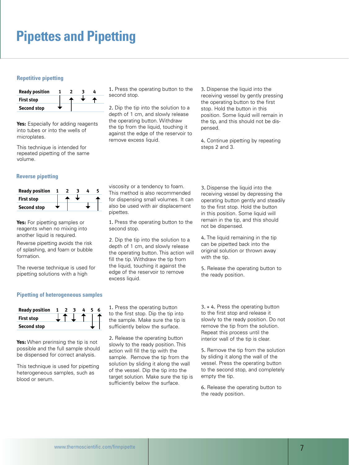### **Repetitive pipetting**

| <b>Ready position</b> |  |  |  |
|-----------------------|--|--|--|
| <b>First stop</b>     |  |  |  |
| <b>Second stop</b>    |  |  |  |

Yes: Especially for adding reagents into tubes or into the wells of microplates.

This technique is intended for repeated pipetting of the same volume.

#### **Reverse pipetting**

| <b>Ready position</b> |  |  |  |
|-----------------------|--|--|--|
| <b>First stop</b>     |  |  |  |
| <b>Second stop</b>    |  |  |  |

**Yes:** For pipetting samples or reagents when no mixing into another liquid is required.

Reverse pipetting avoids the risk of splashing, and foam or bubble formation.

The reverse technique is used for pipetting solutions with a high

1. Press the operating button to the second stop.

2. Dip the tip into the solution to a depth of 1 cm, and slowly release the operating button. Withdraw the tip from the liquid, touching it against the edge of the reservoir to remove excess liquid.

3. Dispense the liquid into the receiving vessel by gently pressing the operating button to the first stop. Hold the button in this position. Some liquid will remain in the tip, and this should not be dispensed.

4. Continue pipetting by repeating steps 2 and 3.

viscosity or a tendency to foam. This method is also recommended for dispensing small volumes. It can also be used with air displacement pipettes.

1. Press the operating button to the second stop.

2. Dip the tip into the solution to a depth of 1 cm, and slowly release the operating button. This action will fill the tip. Withdraw the tip from the liquid, touching it against the edge of the reservoir to remove excess liquid.

3. Dispense the liquid into the receiving vessel by depressing the operating button gently and steadily to the first stop. Hold the button in this position. Some liquid will remain in the tip, and this should not be dispensed.

4. The liquid remaining in the tip can be pipetted back into the original solution or thrown away with the tip.

5. Release the operating button to the ready position.

### **Pipetting of heterogeneous samples**



**Yes:** When prerinsing the tip is not possible and the full sample should be dispensed for correct analysis.

This technique is used for pipetting heterogeneous samples, such as blood or serum.

1. Press the operating button to the first stop. Dip the tip into the sample. Make sure the tip is sufficiently below the surface.

2. Release the operating button slowly to the ready position. This action will fill the tip with the sample. Remove the tip from the solution by sliding it along the wall of the vessel. Dip the tip into the target solution. Make sure the tip is sufficiently below the surface.

3. + 4. Press the operating button to the first stop and release it slowly to the ready position. Do not remove the tip from the solution. Repeat this process until the interior wall of the tip is clear.

5. Remove the tip from the solution by sliding it along the wall of the vessel. Press the operating button to the second stop, and completely empty the tip.

6. Release the operating button to the ready position.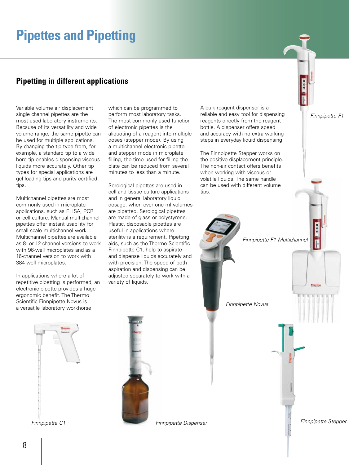### **Pipetting in different applications**

Variable volume air displacement single channel pipettes are the most used laboratory instruments. Because of its versatility and wide volume range, the same pipette can be used for multiple applications. By changing the tip type from, for example, a standard tip to a wide bore tip enables dispensing viscous liquids more accurately. Other tip types for special applications are gel loading tips and purity certified tips.

Multichannel pipettes are most commonly used in microplate applications, such as ELISA, PCR or cell culture. Manual multichannel pipettes offer instant usability for small scale multichannel work. Multichannel pipettes are available as 8- or 12-channel versions to work with 96-well microplates and as a 16-channel version to work with 384-well microplates.

In applications where a lot of repetitive pipetting is performed, an electronic pipette provides a huge ergonomic benefit. The Thermo Scientific Finnpipette Novus is a versatile laboratory workhorse

which can be programmed to perform most laboratory tasks. The most commonly used function of electronic pipettes is the aliquoting of a reagent into multiple doses (stepper mode). By using a multichannel electronic pipette and stepper mode in microplate filling, the time used for filling the plate can be reduced from several minutes to less than a minute.

Serological pipettes are used in cell and tissue culture applications and in general laboratory liquid dosage, when over one ml volumes are pipetted. Serological pipettes are made of glass or polystyrene. Plastic, disposable pipettes are useful in applications where sterility is a requirement. Pipetting aids, such as the Thermo Scientific Finnpipette C1, help to aspirate and dispense liquids accurately and with precision. The speed of both aspiration and dispensing can be adjusted separately to work with a variety of liquids.

A bulk reagent dispenser is a reliable and easy tool for dispensing reagents directly from the reagent bottle. A dispenser offers speed and accuracy with no extra working steps in everyday liquid dispensing.

The Finnpipette Stepper works on the positive displacement principle. The non-air contact offers benefits when working with viscous or volatile liquids. The same handle can be used with different volume tips.

*Finnpipette F1*

*Finnpipette C1*



*Finnpipette F1 Multichannel Finnpipette Novus Finnpipette Stepper Finnpipette Dispenser*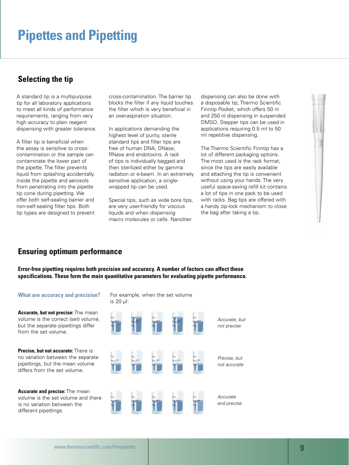### **Selecting the tip**

A standard tip is a multipurpose tip for all laboratory applications to meet all kinds of performance requirements, ranging from very high accuracy to plain reagent dispensing with greater tolerance.

A filter tip is beneficial when the assay is sensitive to crosscontamination or the sample can contaminate the lower part of the pipette. The filter prevents liquid from splashing accidentally inside the pipette and aerosols from penetrating into the pipette tip cone during pipetting. We offer both self-sealing barrier and non-self-sealing filter tips. Both tip types are designed to prevent cross-contamination. The barrier tip blocks the filter if any liquid touches the filter which is very beneficial in an over-aspiration situation.

In applications demanding the highest level of purity, sterile standard tips and filter tips are free of human DNA, DNase, RNase and endotoxins. A rack of tips is individually bagged and then sterilized either by gamma radiation or e-beam. In an extremely sensitive application, a singlewrapped tip can be used.

Special tips, such as wide bore tips, are very user-friendly for viscous liquids and when dispensing macro molecules or cells. Nanoliter

dispensing can also be done with a disposable tip, Thermo Scientific Finntip Pocket, which offers 50 nl and 250 nl dispensing in suspended DMSO. Stepper tips can be used in applications requiring 0.5 ml to 50 ml repetitive dispensing.

The Thermo Scientific Finntip has a lot of different packaging options. The most used is the rack format, since the tips are easily available and attaching the tip is convenient without using your hands. The very useful space-saving refill kit contains a lot of tips in one pack to be used with racks. Bag tips are offered with a handy zip-lock mechanism to close the bag after taking a tip.



### **Ensuring optimum performance**

**Error-free pipetting requires both precision and accuracy. A number of factors can affect these specifications. These form the main quantitative parameters for evaluating pipette performance.**

### **What are accuracy and precision?**

**Accurate, but not precise:** The mean volume is the correct (set) volume, but the separate pipettings differ from the set volume.

**Precise, but not accurate:** There is no variation between the separate pipettings, but the mean volume differs from the set volume.

**Accurate and precise:** The mean volume is the set volume and there is no variation between the different pipettings.

For example, when the set volume is 20 µl:

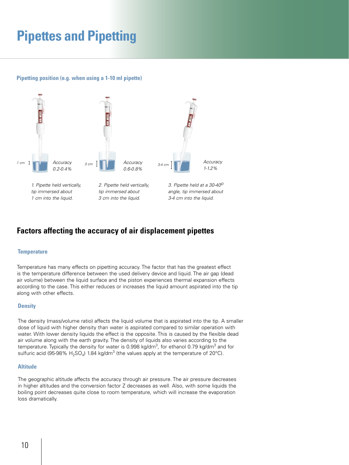### **Pipetting position (e.g. when using a 1-10 ml pipette)**



**Factors affecting the accuracy of air displacement pipettes**

#### **Temperature**

Temperature has many effects on pipetting accuracy. The factor that has the greatest effect is the temperature difference between the used delivery device and liquid. The air gap (dead air volume) between the liquid surface and the piston experiences thermal expansion effects according to the case. This either reduces or increases the liquid amount aspirated into the tip along with other effects.

### **Density**

The density (mass/volume ratio) affects the liquid volume that is aspirated into the tip. A smaller dose of liquid with higher density than water is aspirated compared to similar operation with water. With lower density liquids the effect is the opposite. This is caused by the flexible dead air volume along with the earth gravity. The density of liquids also varies according to the temperature. Typically the density for water is 0.998 kg/dm $^3$ , for ethanol 0.79 kg/dm $^3$  and for sulfuric acid (95-98%  $\rm H_2SO_4$ ) 1.84 kg/dm $^3$  (the values apply at the temperature of 20°C).

#### **Altitude**

The geographic altitude affects the accuracy through air pressure. The air pressure decreases in higher altitudes and the conversion factor Z decreases as well. Also, with some liquids the boiling point decreases quite close to room temperature, which will increase the evaporation loss dramatically.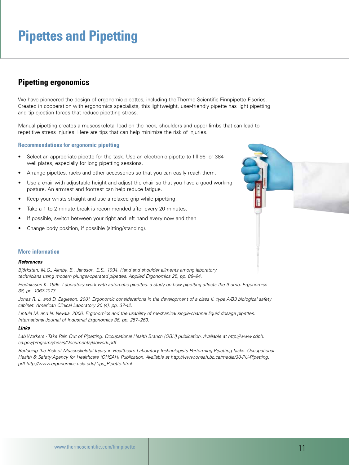### **Pipetting ergonomics**

We have pioneered the design of ergonomic pipettes, including the Thermo Scientific Finnpipette F-series. Created in cooperation with ergonomics specialists, this lightweight, user-friendly pipette has light pipetting and tip ejection forces that reduce pipetting stress.

Manual pipetting creates a muscoskeletal load on the neck, shoulders and upper limbs that can lead to repetitive stress injuries. Here are tips that can help minimize the risk of injuries.

#### **Recommendations for ergonomic pipetting**

- Select an appropriate pipette for the task. Use an electronic pipette to fill 96- or 384well plates, especially for long pipetting sessions.
- Arrange pipettes, racks and other accessories so that you can easily reach them.
- Use a chair with adjustable height and adjust the chair so that you have a good working posture. An armrest and footrest can help reduce fatigue.
- Keep your wrists straight and use a relaxed grip while pipetting.
- Take a 1 to 2 minute break is recommended after every 20 minutes.
- If possible, switch between your right and left hand every now and then
- Change body position, if possible (sitting/standing).

### **More information**

#### *References*

*Björksten, M.G., Almby, B., Jansson, E.S., 1994. Hand and shoulder ailments among laboratory technicians using modern plunger-operated pipettes. Applied Ergonomics 25, pp. 88–94.*

*Fredriksson K. 1995. Laboratory work with automatic pipettes: a study on how pipetting affects the thumb. Ergonomics 38, pp. 1067-1073.*

*Jones R. L. and D. Eagleson. 2001. Ergonomic considerations in the development of a class II, type A/B3 biological safety cabinet. American Clinical Laboratory 20 (4), pp. 37-42.*

*Lintula M. and N. Nevala. 2006. Ergonomics and the usability of mechanical single-channel liquid dosage pipettes. International Journal of Industrial Ergonomics 36, pp. 257–263.*

#### *Links*

*Lab Workers - Take Pain Out of Pipetting. Occupational Health Branch (OBH) publication. Available at http://www.cdph. ca.gov/programs/hesis/Documents/labwork.pdf*

*Reducing the Risk of Muscoskeletal Injury in Healthcare Laboratory Technologists Performing Pipetting Tasks. Occupational Health & Safety Agency for Healthcare (OHSAH) Publication. Available at http://www.ohsah.bc.ca/media/30-PU-Pipetting. pdf http://www.ergonomics.ucla.edu/Tips\_Pipette.html* 

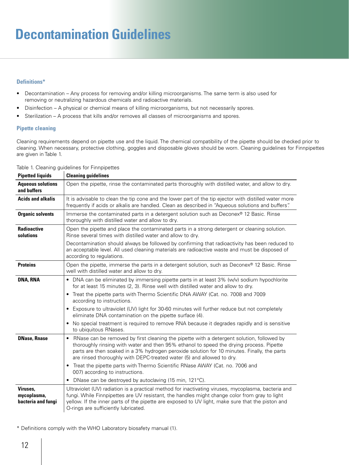# **Decontamination Guidelines**

### **Definitions\***

- • Decontamination Any process for removing and/or killing microorganisms. The same term is also used for removing or neutralizing hazardous chemicals and radioactive materials.
- Disinfection A physical or chemical means of killing microorganisms, but not necessarily spores.
- Sterilization A process that kills and/or removes all classes of microorganisms and spores.

### **Pipette cleaning**

Cleaning requirements depend on pipette use and the liquid. The chemical compatibility of the pipette should be checked prior to cleaning. When necessary, protective clothing, goggles and disposable gloves should be worn. Cleaning guidelines for Finnpipettes are given in Table 1.

| <b>Pipetted liquids</b>                       | <b>Cleaning guidelines</b>                                                                                                                                                                                                                                                                                                                                     |
|-----------------------------------------------|----------------------------------------------------------------------------------------------------------------------------------------------------------------------------------------------------------------------------------------------------------------------------------------------------------------------------------------------------------------|
| <b>Aqueous solutions</b><br>and buffers       | Open the pipette, rinse the contaminated parts thoroughly with distilled water, and allow to dry.                                                                                                                                                                                                                                                              |
| <b>Acids and alkalis</b>                      | It is advisable to clean the tip cone and the lower part of the tip ejector with distilled water more<br>frequently if acids or alkalis are handled. Clean as described in "Aqueous solutions and buffers".                                                                                                                                                    |
| <b>Organic solvents</b>                       | Immerse the contaminated parts in a detergent solution such as Deconex <sup>®</sup> 12 Basic. Rinse<br>thoroughly with distilled water and allow to dry.                                                                                                                                                                                                       |
| <b>Radioactive</b><br>solutions               | Open the pipette and place the contaminated parts in a strong detergent or cleaning solution.<br>Rinse several times with distilled water and allow to dry.                                                                                                                                                                                                    |
|                                               | Decontamination should always be followed by confirming that radioactivity has been reduced to<br>an acceptable level. All used cleaning materials are radioactive waste and must be disposed of<br>according to regulations.                                                                                                                                  |
| <b>Proteins</b>                               | Open the pipette, immerse the parts in a detergent solution, such as Deconex® 12 Basic. Rinse<br>well with distilled water and allow to dry.                                                                                                                                                                                                                   |
| <b>DNA, RNA</b>                               | • DNA can be eliminated by immersing pipette parts in at least 3% (w/v) sodium hypochlorite<br>for at least 15 minutes (2, 3). Rinse well with distilled water and allow to dry.                                                                                                                                                                               |
|                                               | • Treat the pipette parts with Thermo Scientific DNA AWAY (Cat. no. 7008 and 7009<br>according to instructions.                                                                                                                                                                                                                                                |
|                                               | • Exposure to ultraviolet (UV) light for 30-60 minutes will further reduce but not completely<br>eliminate DNA contamination on the pipette surface (4).                                                                                                                                                                                                       |
|                                               | No special treatment is required to remove RNA because it degrades rapidly and is sensitive<br>٠<br>to ubiquitous RNases.                                                                                                                                                                                                                                      |
| <b>DNase, Rnase</b>                           | • RNase can be removed by first cleaning the pipette with a detergent solution, followed by<br>thoroughly rinsing with water and then 95% ethanol to speed the drying process. Pipette<br>parts are then soaked in a 3% hydrogen peroxide solution for 10 minutes. Finally, the parts<br>are rinsed thoroughly with DEPC-treated water (5) and allowed to dry. |
|                                               | Treat the pipette parts with Thermo Scientific RNase AWAY (Cat. no. 7006 and<br>$\bullet$<br>007) according to instructions.                                                                                                                                                                                                                                   |
|                                               | DNase can be destroyed by autoclaving (15 min, 121°C).                                                                                                                                                                                                                                                                                                         |
| Viruses.<br>mycoplasma,<br>bacteria and fungi | Ultraviolet (UV) radiation is a practical method for inactivating viruses, mycoplasma, bacteria and<br>fungi. While Finnpipettes are UV resistant, the handles might change color from gray to light<br>yellow. If the inner parts of the pipette are exposed to UV light, make sure that the piston and<br>O-rings are sufficiently lubricated.               |

Table 1. Cleaning guidelines for Finnpipettes

\* Definitions comply with the WHO Laboratory biosafety manual (1).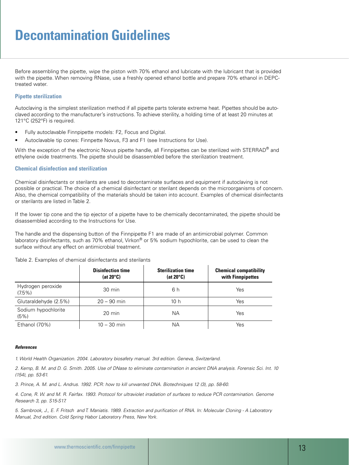## **Decontamination Guidelines Decontamination Guidelines**

Before assembling the pipette, wipe the piston with 70% ethanol and lubricate with the lubricant that is provided with the pipette. When removing RNase, use a freshly opened ethanol bottle and prepare 70% ethanol in DEPCtreated water.

### **Pipette sterilization**

Autoclaving is the simplest sterilization method if all pipette parts tolerate extreme heat. Pipettes should be autoclaved according to the manufacturer's instructions. To achieve sterility, a holding time of at least 20 minutes at 121°C (252°F) is required.

- Fully autoclavable Finnpipette models: F2, Focus and Digital.
- • Autoclavable tip cones: Finnpette Novus, F3 and F1 (see Instructions for Use).

With the exception of the electronic Novus pipette handle, all Finnpipettes can be sterilized with STERRAD<sup>®</sup> and ethylene oxide treatments. The pipette should be disassembled before the sterilization treatment.

#### **Chemical disinfection and sterilization**

Chemical disinfectants or sterilants are used to decontaminate surfaces and equipment if autoclaving is not possible or practical. The choice of a chemical disinfectant or sterilant depends on the microorganisms of concern. Also, the chemical compatibility of the materials should be taken into account. Examples of chemical disinfectants or sterilants are listed in Table 2.

If the lower tip cone and the tip ejector of a pipette have to be chemically decontaminated, the pipette should be disassembled according to the Instructions for Use.

The handle and the dispensing button of the Finnpipette F1 are made of an antimicrobial polymer. Common laboratory disinfectants, such as 70% ethanol, Virkon® or 5% sodium hypochlorite, can be used to clean the surface without any effect on antimicrobial treatment.

|                                | <b>Disinfection time</b><br>(at $20^{\circ}$ C) | <b>Sterilization time</b><br>(at $20^{\circ}$ C) | <b>Chemical compatibility</b><br>with Finnpipettes |
|--------------------------------|-------------------------------------------------|--------------------------------------------------|----------------------------------------------------|
| Hydrogen peroxide<br>$(7.5\%)$ | 30 min                                          | 6 h                                              | Yes                                                |
| Glutaraldehyde (2.5%)          | $20 - 90$ min                                   | 10 h                                             | Yes                                                |
| Sodium hypochlorite<br>(5%)    | $20 \text{ min}$                                | <b>NA</b>                                        | Yes                                                |
| Ethanol (70%)                  | $10 - 30$ min                                   | <b>NA</b>                                        | Yes                                                |

Table 2. Examples of chemical disinfectants and sterilants

### *References*

*1. World Health Organization. 2004. Laboratory biosafety manual. 3rd edition. Geneva, Switzerland.*

*2. Kemp, B. M. and D. G. Smith. 2005. Use of DNase to eliminate contamination in ancient DNA analysis. Forensic Sci. Int. 10 (154), pp. 53-61.*

*3. Prince, A. M. and L. Andrus. 1992. PCR: how to kill unwanted DNA. Biotechniques 12 (3), pp. 58-60.*

*4. Cone, R. W. and M. R. Fairfax. 1993. Protocol for ultraviolet irradiation of surfaces to reduce PCR contamination. Genome Research 3, pp. S15-S17.*

*5. Sambrook, J., E. F. Fritsch and T. Maniatis. 1989. Extraction and purification of RNA. In: Molecular Cloning - A Laboratory Manual, 2nd edition. Cold Spring Habor Laboratory Press, New York.*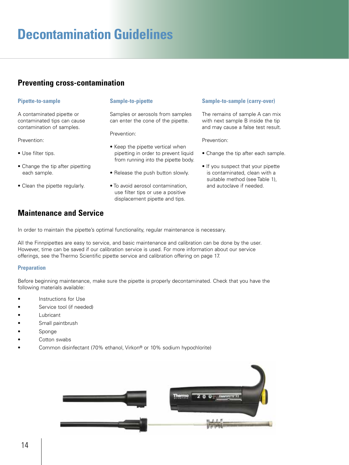## **Decontamination Guidelines**

### **Preventing cross-contamination**

### **Pipette-to-sample**

A contaminated pipette or contaminated tips can cause contamination of samples.

#### Prevention:

- Use filter tips.
- Change the tip after pipetting each sample.
- Clean the pipette regularly.

### **Maintenance and Service**

In order to maintain the pipette's optimal functionality, regular maintenance is necessary.

**Sample-to-pipette**

Prevention:

Samples or aerosols from samples can enter the cone of the pipette.

• Keep the pipette vertical when pipetting in order to prevent liquid from running into the pipette body.

• Release the push button slowly.

• To avoid aerosol contamination, use filter tips or use a positive displacement pipette and tips.

All the Finnpipettes are easy to service, and basic maintenance and calibration can be done by the user. However, time can be saved if our calibration service is used. For more information about our service offerings, see the Thermo Scientific pipette service and calibration offering on page 17.

### **Preparation**

Before beginning maintenance, make sure the pipette is properly decontaminated. Check that you have the following materials available:

- Instructions for Use
- Service tool (if needed)
- • Lubricant
- Small paintbrush
- **Sponge**
- Cotton swabs
- Common disinfectant (70% ethanol, Virkon® or 10% sodium hypochlorite)



### **Sample-to-sample (carry-over)**

The remains of sample A can mix with next sample B inside the tip and may cause a false test result.

Prevention:

- Change the tip after each sample.
- If you suspect that your pipette is contaminated, clean with a suitable method (see Table 1), and autoclave if needed.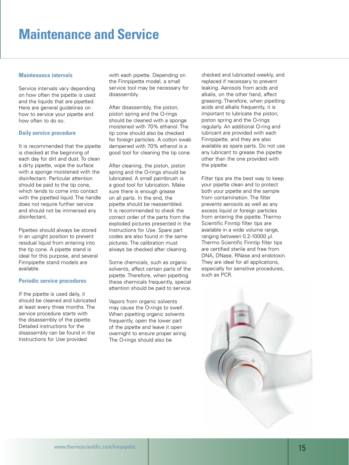## **Maintenance and Service**

### **Maintenance intervals**

Service intervals vary depending on how often the pipette is used and the liquids that are pipetted. Here are general guidelines on how to service your pipette and how often to do so.

### **Daily service procedure**

It is recommended that the pipette is checked at the beginning of each day for dirt and dust. To clean a dirty pipette, wipe the surface with a sponge moistened with the disinfectant. Particular attention should be paid to the tip cone, which tends to come into contact with the pipetted liquid. The handle does not require further service and should not be immersed any disinfectant.

Pipettes should always be stored in an upright position to prevent residual liquid from entering into the tip cone. A pipette stand is ideal for this purpose, and several Finnpipette stand models are available.

### **Periodic service procedures**

If the pipette is used daily, it should be cleaned and lubricated at least every three months. The service procedure starts with the disassembly of the pipette. Detailed instructions for the disassembly can be found in the Instructions for Use provided

with each pipette. Depending on the Finnpipette model, a small service tool may be necessary for disassembly.

After disassembly, the piston, piston spring and the O-rings should be cleaned with a sponge moistened with 70% ethanol. The tip cone should also be checked for foreign particles. A cotton swab dampened with 70% ethanol is a good tool for cleaning the tip cone.

After cleaning, the piston, piston spring and the O-rings should be lubricated. A small paintbrush is a good tool for lubrication. Make sure there is enough grease on all parts. In the end, the pipette should be reassembled. It is recommended to check the correct order of the parts from the exploded pictures presented in the Instructions for Use. Spare part codes are also found in the same pictures. The calibration must always be checked after cleaning.

Some chemicals, such as organic solvents, affect certain parts of the pipette. Therefore, when pipetting these chemicals frequently, special attention should be paid to service.

Vapors from organic solvents may cause the O-rings to swell. When pipetting organic solvents frequently, open the lower part of the pipette and leave it open overnight to ensure proper airing. The O-rings should also be

checked and lubricated weekly, and replaced if necessary to prevent leaking. Aerosols from acids and alkalis, on the other hand, affect greasing. Therefore, when pipetting acids and alkalis frequently, it is important to lubricate the piston, piston spring and the O-rings regularly. An additional O-ring and lubricant are provided with each Finnpipette, and they are also available as spare parts. Do not use any lubricant to grease the pipette other than the one provided with the pipette.

Filter tips are the best way to keep your pipette clean and to protect both your pipette and the sample from contamination. The filter prevents aerosols as well as any excess liquid or foreign particles from entering the pipette. Thermo Scientific Finntip filter tips are available in a wide volume range, ranging between 0.2-10000 µl. Thermo Scientific Finntip filter tips are certified sterile and free from DNA, DNase, RNase and endotoxin. They are ideal for all applications, especially for sensitive procedures, such as PCR.

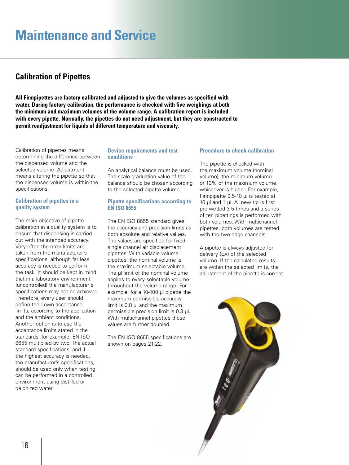## **Maintenance and Service**

### **Calibration of Pipettes**

**All Finnpipettes are factory calibrated and adjusted to give the volumes as specified with water. During factory calibration, the performance is checked with five weighings at both the minimum and maximum volumes of the volume range. A calibration report is included with every pipette. Normally, the pipettes do not need adjustment, but they are constructed to permit readjustment for liquids of different temperature and viscosity.**

Calibration of pipettes means determining the difference between the dispensed volume and the selected volume. Adjustment means altering the pipette so that the dispensed volume is within the specifications.

### **Calibration of pipettes in a quality system**

The main objective of pipette calibration in a quality system is to ensure that dispensing is carried out with the intended accuracy. Very often the error limits are taken from the manufacturer's specifications, although far less accuracy is needed to perform the task. It should be kept in mind that in a laboratory environment (uncontrolled) the manufacturer´s specifications may not be achieved. Therefore, every user should define their own acceptance limits, according to the application and the ambient conditions. Another option is to use the acceptance limits stated in the standards, for example, EN ISO 8655 multiplied by two. The actual standard specifications, and if the highest accuracy is needed, the manufacturer's specifications, should be used only when testing can be performed in a controlled environment using distilled or deionized water.

### **Device requirements and test conditions**

An analytical balance must be used. The scale graduation value of the balance should be chosen according to the selected pipette volume.

### **Pipette specifications according to EN ISO 8655**

The EN ISO 8655 standard gives the accuracy and precision limits as both absolute and relative values. The values are specified for fixed single channel air displacement pipettes. With variable volume pipettes, the nominal volume is the maximum selectable volume. The ul limit of the nominal volume applies to every selectable volume throughout the volume range. For example, for a 10-100 μl pipette the maximum permissible accuracy limit is 0.8 μl and the maximum permissible precision limit is 0.3 μl. With multichannel pipettes these values are further doubled.

The EN ISO 8655 specifications are shown on pages 21-22.

### **Procedure to check calibration**

The pipette is checked with the maximum volume (nominal volume), the minimum volume or 10% of the maximum volume, whichever is higher. For example, Finnpipette 0.5-10 µl is tested at 10 µl and 1 µl. A new tip is first pre-wetted 3-5 times and a series of ten pipettings is performed with both volumes. With multichannel pipettes, both volumes are tested with the two edge channels.

A pipette is always adjusted for delivery (EX) of the selected volume. If the calculated results are within the selected limits, the adjustment of the pipette is correct.

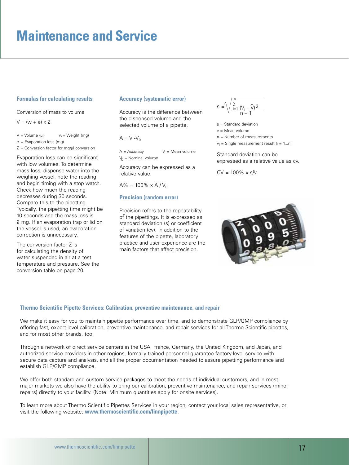### **Formulas for calculating results**

Conversion of mass to volume

 $V = (w + e) \times Z$ 

- $V =$  Volume (µl)  $w =$  Weight (mg)
- e = Evaporation loss (mg)

 $Z =$  Conversion factor for mg/ $\mu$ l conversion

Evaporation loss can be significant with low volumes. To determine mass loss, dispense water into the weighing vessel, note the reading and begin timing with a stop watch. Check how much the reading decreases during 30 seconds. Compare this to the pipetting. Typically, the pipetting time might be 10 seconds and the mass loss is 2 mg. If an evaporation trap or lid on the vessel is used, an evaporation correction is unnecessary.

The conversion factor Z is for calculating the density of water suspended in air at a test temperature and pressure. See the conversion table on page 20.

#### **Accuracy (systematic error)**

Accuracy is the difference between the dispensed volume and the selected volume of a pipette.

 $A = \overline{V} - V_0$ 

 $A = Accuracy$   $V = Mean volume$  $V_0$  = Nominal volume

Accuracy can be expressed as a relative value:

 $A\% = 100\% \times A/V_0$ 

### **Precision (random error)**

Precision refers to the repeatability of the pipettings. It is expressed as standard deviation (s) or coefficient of variation (cv). In addition to the features of the pipette, laboratory practice and user experience are the main factors that affect precision.



s = Standard deviation

- v = Mean volume
- n = Number of measurements
- $v_i$  = Single measurement result (i = 1...n)

Standard deviation can be expressed as a relative value as cv.

 $CV = 100\% \times s/V$ 



#### **Thermo Scientific Pipette Services: Calibration, preventive maintenance, and repair**

We make it easy for you to maintain pipette performance over time, and to demonstrate GLP/GMP compliance by offering fast, expert-level calibration, preventive maintenance, and repair services for all Thermo Scientific pipettes, and for most other brands, too.

Through a network of direct service centers in the USA, France, Germany, the United Kingdom, and Japan, and authorized service providers in other regions, formally trained personnel guarantee factory-level service with secure data capture and analysis, and all the proper documentation needed to assure pipetting performance and establish GLP/GMP compliance.

We offer both standard and custom service packages to meet the needs of individual customers, and in most major markets we also have the ability to bring our calibration, preventive maintenance, and repair services (minor repairs) directly to your facility. (Note: Minimum quantities apply for onsite services).

To learn more about Thermo Scientific Pipettes Services in your region, contact your local sales representative, or visit the following website: **www.thermoscientific.com/finnpipette**.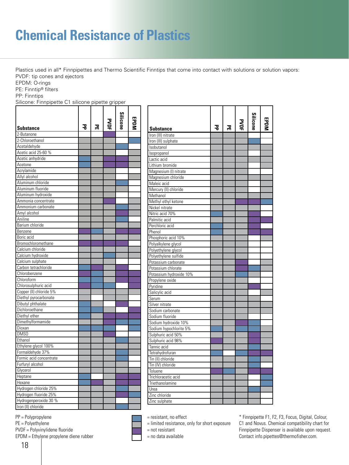# **Chemical Resistance of Plastics**

Plastics used in all\* Finnpipettes and Thermo Scientific Finntips that come into contact with solutions or solution vapors: PVDF: tip cones and ejectors

EPDM: O-rings

PE: Finntip® filters

PP: Finntips

Silicone: Finnpipette C1 silicone pipette gripper

|                         |   |   | ؏ | <b>Silicone</b> |  |
|-------------------------|---|---|---|-----------------|--|
| <b>Substance</b>        | 공 | 몲 |   |                 |  |
| 2-Butanone              |   |   |   |                 |  |
| 2-Chloroethanol         |   |   |   |                 |  |
| Acetaldehyde            |   |   |   |                 |  |
| Acetic acid 25-60 %     |   |   |   |                 |  |
| Acetic anhydride        |   |   |   |                 |  |
| Acetone                 |   |   |   |                 |  |
| Acrylamide              |   |   |   |                 |  |
| Allyl alcohol           |   |   |   |                 |  |
| Aluminum chloride       |   |   |   |                 |  |
| Aluminum fluoride       |   |   |   |                 |  |
| Aluminum hydroxide      |   |   |   |                 |  |
| Ammonia concentrate     |   |   |   |                 |  |
| Ammonium carbonate      |   |   |   |                 |  |
| Amyl alcohol            |   |   |   |                 |  |
| Aniline                 |   |   |   |                 |  |
| Barium chloride         |   |   |   |                 |  |
| Benzene                 |   |   |   |                 |  |
| Boric acid              |   |   |   |                 |  |
| Bromochloromethane      |   |   |   |                 |  |
| Calcium chloride        |   |   |   |                 |  |
| Calcium hydroxide       |   |   |   |                 |  |
| Calcium sulphate        |   |   |   |                 |  |
| Carbon tetrachloride    |   |   |   |                 |  |
| Chlorobenzene           |   |   |   |                 |  |
| Chloroform              |   |   |   |                 |  |
| Chlorosulphuric acid    |   |   |   |                 |  |
| Copper (II) chloride 5% |   |   |   |                 |  |
| Diethyl pyrocarbonate   |   |   |   |                 |  |
| Dibutyl phthalate       |   |   |   |                 |  |
| Dichloroethane          |   |   |   |                 |  |
| Diethyl ether           |   |   |   |                 |  |
| Dimethylformamide       |   |   |   |                 |  |
| Dioxan                  |   |   |   |                 |  |
| DMS0                    |   |   |   |                 |  |
| Ethanol                 |   |   |   |                 |  |
| Ethylene glycol 100%    |   |   |   |                 |  |
| Formaldehyde 37%        |   |   |   |                 |  |
| Formic acid concentrate |   |   |   |                 |  |
| Furfuryl alcohol        |   |   |   |                 |  |
| Glycerol                |   |   |   |                 |  |
| Heptane                 |   |   |   |                 |  |
| Hexane                  |   |   |   |                 |  |
| Hydrogen chloride 25%   |   |   |   |                 |  |
| Hydrogen fluoride 25%   |   |   |   |                 |  |
| Hydrogenperoxide 30 %   |   |   |   |                 |  |
| Iron (II) chloride      |   |   |   |                 |  |

| <b>Silicone</b><br><b>PYDF</b><br>공<br>녺<br><b>Substance</b><br>Iron (III) nitrate<br>Iron (III) sulphate<br>Isobutanol<br>Isopropanol<br>Lactic acid<br>Lithium bromide<br>Magnesium (I) nitrate<br>Magnesium chloride<br>Maleic acid<br>Mercury (II) chloride<br>Methanol<br>Methyl ethyl ketone<br>Nickel nitrate<br>Nitric acid 70%<br>Palmitic acid<br>Perchloric acid<br>Phenol<br>Phosphoric acid 10%<br>Polyalkylene glycol<br>Polyethylene glycol<br>Polyethylene sulfide<br>Potassium carbonate<br>Potassium chlorate<br>Potassium hydroxide 10%<br>Propylene oxide<br>Pyridine<br>Salicylic acid<br>Serum<br>Silver nitrate<br>Sodium carbonate<br>Sodium fluoride<br>Sodium hydroxide 10%<br>Sodium hypochlorite 5%<br>Sulphuric acid 50%<br>Sulphuric acid 98%<br>Tannic acid<br>Tetrahydrofuran<br>Tin (II) chloride<br>Tin (IV) chloride<br>Toluene<br>Trichloracetic acid<br>Triethanolamine<br>Urea<br>Zinc chloride |               |  |  |  |
|---------------------------------------------------------------------------------------------------------------------------------------------------------------------------------------------------------------------------------------------------------------------------------------------------------------------------------------------------------------------------------------------------------------------------------------------------------------------------------------------------------------------------------------------------------------------------------------------------------------------------------------------------------------------------------------------------------------------------------------------------------------------------------------------------------------------------------------------------------------------------------------------------------------------------------------|---------------|--|--|--|
|                                                                                                                                                                                                                                                                                                                                                                                                                                                                                                                                                                                                                                                                                                                                                                                                                                                                                                                                       |               |  |  |  |
|                                                                                                                                                                                                                                                                                                                                                                                                                                                                                                                                                                                                                                                                                                                                                                                                                                                                                                                                       |               |  |  |  |
|                                                                                                                                                                                                                                                                                                                                                                                                                                                                                                                                                                                                                                                                                                                                                                                                                                                                                                                                       |               |  |  |  |
|                                                                                                                                                                                                                                                                                                                                                                                                                                                                                                                                                                                                                                                                                                                                                                                                                                                                                                                                       |               |  |  |  |
|                                                                                                                                                                                                                                                                                                                                                                                                                                                                                                                                                                                                                                                                                                                                                                                                                                                                                                                                       |               |  |  |  |
|                                                                                                                                                                                                                                                                                                                                                                                                                                                                                                                                                                                                                                                                                                                                                                                                                                                                                                                                       |               |  |  |  |
|                                                                                                                                                                                                                                                                                                                                                                                                                                                                                                                                                                                                                                                                                                                                                                                                                                                                                                                                       |               |  |  |  |
|                                                                                                                                                                                                                                                                                                                                                                                                                                                                                                                                                                                                                                                                                                                                                                                                                                                                                                                                       |               |  |  |  |
|                                                                                                                                                                                                                                                                                                                                                                                                                                                                                                                                                                                                                                                                                                                                                                                                                                                                                                                                       |               |  |  |  |
|                                                                                                                                                                                                                                                                                                                                                                                                                                                                                                                                                                                                                                                                                                                                                                                                                                                                                                                                       |               |  |  |  |
|                                                                                                                                                                                                                                                                                                                                                                                                                                                                                                                                                                                                                                                                                                                                                                                                                                                                                                                                       |               |  |  |  |
|                                                                                                                                                                                                                                                                                                                                                                                                                                                                                                                                                                                                                                                                                                                                                                                                                                                                                                                                       |               |  |  |  |
|                                                                                                                                                                                                                                                                                                                                                                                                                                                                                                                                                                                                                                                                                                                                                                                                                                                                                                                                       |               |  |  |  |
|                                                                                                                                                                                                                                                                                                                                                                                                                                                                                                                                                                                                                                                                                                                                                                                                                                                                                                                                       |               |  |  |  |
|                                                                                                                                                                                                                                                                                                                                                                                                                                                                                                                                                                                                                                                                                                                                                                                                                                                                                                                                       |               |  |  |  |
|                                                                                                                                                                                                                                                                                                                                                                                                                                                                                                                                                                                                                                                                                                                                                                                                                                                                                                                                       |               |  |  |  |
|                                                                                                                                                                                                                                                                                                                                                                                                                                                                                                                                                                                                                                                                                                                                                                                                                                                                                                                                       |               |  |  |  |
|                                                                                                                                                                                                                                                                                                                                                                                                                                                                                                                                                                                                                                                                                                                                                                                                                                                                                                                                       |               |  |  |  |
|                                                                                                                                                                                                                                                                                                                                                                                                                                                                                                                                                                                                                                                                                                                                                                                                                                                                                                                                       |               |  |  |  |
|                                                                                                                                                                                                                                                                                                                                                                                                                                                                                                                                                                                                                                                                                                                                                                                                                                                                                                                                       |               |  |  |  |
|                                                                                                                                                                                                                                                                                                                                                                                                                                                                                                                                                                                                                                                                                                                                                                                                                                                                                                                                       |               |  |  |  |
|                                                                                                                                                                                                                                                                                                                                                                                                                                                                                                                                                                                                                                                                                                                                                                                                                                                                                                                                       |               |  |  |  |
|                                                                                                                                                                                                                                                                                                                                                                                                                                                                                                                                                                                                                                                                                                                                                                                                                                                                                                                                       |               |  |  |  |
|                                                                                                                                                                                                                                                                                                                                                                                                                                                                                                                                                                                                                                                                                                                                                                                                                                                                                                                                       |               |  |  |  |
|                                                                                                                                                                                                                                                                                                                                                                                                                                                                                                                                                                                                                                                                                                                                                                                                                                                                                                                                       |               |  |  |  |
|                                                                                                                                                                                                                                                                                                                                                                                                                                                                                                                                                                                                                                                                                                                                                                                                                                                                                                                                       |               |  |  |  |
|                                                                                                                                                                                                                                                                                                                                                                                                                                                                                                                                                                                                                                                                                                                                                                                                                                                                                                                                       |               |  |  |  |
|                                                                                                                                                                                                                                                                                                                                                                                                                                                                                                                                                                                                                                                                                                                                                                                                                                                                                                                                       |               |  |  |  |
|                                                                                                                                                                                                                                                                                                                                                                                                                                                                                                                                                                                                                                                                                                                                                                                                                                                                                                                                       |               |  |  |  |
|                                                                                                                                                                                                                                                                                                                                                                                                                                                                                                                                                                                                                                                                                                                                                                                                                                                                                                                                       |               |  |  |  |
|                                                                                                                                                                                                                                                                                                                                                                                                                                                                                                                                                                                                                                                                                                                                                                                                                                                                                                                                       |               |  |  |  |
|                                                                                                                                                                                                                                                                                                                                                                                                                                                                                                                                                                                                                                                                                                                                                                                                                                                                                                                                       |               |  |  |  |
|                                                                                                                                                                                                                                                                                                                                                                                                                                                                                                                                                                                                                                                                                                                                                                                                                                                                                                                                       |               |  |  |  |
|                                                                                                                                                                                                                                                                                                                                                                                                                                                                                                                                                                                                                                                                                                                                                                                                                                                                                                                                       |               |  |  |  |
|                                                                                                                                                                                                                                                                                                                                                                                                                                                                                                                                                                                                                                                                                                                                                                                                                                                                                                                                       |               |  |  |  |
|                                                                                                                                                                                                                                                                                                                                                                                                                                                                                                                                                                                                                                                                                                                                                                                                                                                                                                                                       |               |  |  |  |
|                                                                                                                                                                                                                                                                                                                                                                                                                                                                                                                                                                                                                                                                                                                                                                                                                                                                                                                                       |               |  |  |  |
|                                                                                                                                                                                                                                                                                                                                                                                                                                                                                                                                                                                                                                                                                                                                                                                                                                                                                                                                       |               |  |  |  |
|                                                                                                                                                                                                                                                                                                                                                                                                                                                                                                                                                                                                                                                                                                                                                                                                                                                                                                                                       |               |  |  |  |
|                                                                                                                                                                                                                                                                                                                                                                                                                                                                                                                                                                                                                                                                                                                                                                                                                                                                                                                                       |               |  |  |  |
|                                                                                                                                                                                                                                                                                                                                                                                                                                                                                                                                                                                                                                                                                                                                                                                                                                                                                                                                       |               |  |  |  |
|                                                                                                                                                                                                                                                                                                                                                                                                                                                                                                                                                                                                                                                                                                                                                                                                                                                                                                                                       |               |  |  |  |
|                                                                                                                                                                                                                                                                                                                                                                                                                                                                                                                                                                                                                                                                                                                                                                                                                                                                                                                                       |               |  |  |  |
|                                                                                                                                                                                                                                                                                                                                                                                                                                                                                                                                                                                                                                                                                                                                                                                                                                                                                                                                       |               |  |  |  |
|                                                                                                                                                                                                                                                                                                                                                                                                                                                                                                                                                                                                                                                                                                                                                                                                                                                                                                                                       |               |  |  |  |
|                                                                                                                                                                                                                                                                                                                                                                                                                                                                                                                                                                                                                                                                                                                                                                                                                                                                                                                                       |               |  |  |  |
|                                                                                                                                                                                                                                                                                                                                                                                                                                                                                                                                                                                                                                                                                                                                                                                                                                                                                                                                       | Zinc sulphate |  |  |  |

PP = Polypropylene

PE = Polyethylene

PVDF = Polyvinylidene fluoride

EPDM = Ethylene propylene diene rubber

= resistant, no effect

= limited resistance, only for short exposure

= not resistant

= no data available

\* Finnpipette F1, F2, F3, Focus, Digital, Colour, C1 and Novus. Chemical compatibility chart for Finnpipette Dispenser is available upon request. Contact info.pipettes@thermofisher.com.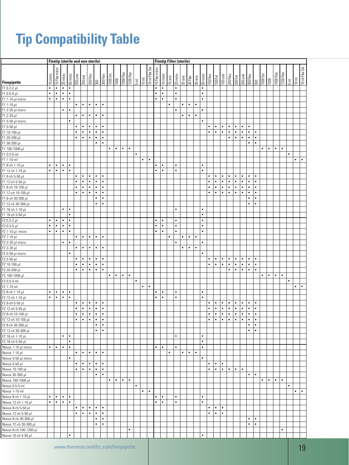# **Tip Compatibility Table**

|                                           |           |               |           |           |                        |                |                        | <b>Finntip (sterile and non-sterile)</b> |                        |           |                   |           |                                                                                                            |           |                |                |               |                     |           |           | <b>Finntip Filter (sterile)</b> |           |                                   |           |                        |                                                                                                                                                                                                                                                                                                                                                                                                                                           |                        |                        |                        |                        |                        |                        |           |           |           |                                                                                     |           |                         |           |
|-------------------------------------------|-----------|---------------|-----------|-----------|------------------------|----------------|------------------------|------------------------------------------|------------------------|-----------|-------------------|-----------|------------------------------------------------------------------------------------------------------------|-----------|----------------|----------------|---------------|---------------------|-----------|-----------|---------------------------------|-----------|-----------------------------------|-----------|------------------------|-------------------------------------------------------------------------------------------------------------------------------------------------------------------------------------------------------------------------------------------------------------------------------------------------------------------------------------------------------------------------------------------------------------------------------------------|------------------------|------------------------|------------------------|------------------------|------------------------|------------------------|-----------|-----------|-----------|-------------------------------------------------------------------------------------|-----------|-------------------------|-----------|
| Finnpipette                               | 10 micro  | 10 Flex micro | 20 micro  | 50 micro  |                        |                |                        |                                          |                        |           | $\overline{1000}$ |           | $\begin{array}{c l}\n\hline\n1000\text{Hex} \\ \hline\n1200\text{Hex} \\ \hline\n5\text{ mL}\n\end{array}$ |           | $10 \text{ m}$ | 10 ml Flex Ext | 10 Flex micro | 10 micro<br>10 univ |           | 20 micro  | 20 univ                         |           | <b>SURIES</b><br>SURIES<br>SURIES |           |                        | $\begin{tabular}{ c c c c c c c c } \hline \multicolumn{1}{ c }{E} & \multicolumn{1}{ c }{\hline & \multicolumn{1}{ c }{E}} & \multicolumn{1}{ c }{\hline & \multicolumn{1}{ c }{E}} & \multicolumn{1}{ c }{\hline & \multicolumn{1}{ c }{E}} & \multicolumn{1}{ c }{\hline & \multicolumn{1}{ c }{E}} & \multicolumn{1}{ c }{\hline & \multicolumn{1}{ c }{E}} & \multicolumn{1}{ c }{\hline & \multicolumn{1}{ c }{E}} & \multicolumn{$ |                        |                        |                        |                        |                        |                        |           |           | 1000 Flex | $\begin{array}{c c}\n\hline\n1200 \text{ Hex} \\ \hline\n5 \text{ ml}\n\end{array}$ |           | 10 ml<br>10 ml Flex Ext |           |
| F1 0.2-2 µl                               | $\bullet$ | $\bullet$     | $\bullet$ | $\bullet$ |                        |                |                        |                                          |                        |           |                   |           |                                                                                                            |           |                |                | $\bullet$     | $\bullet$           |           | $\bullet$ |                                 |           |                                   | $\bullet$ |                        |                                                                                                                                                                                                                                                                                                                                                                                                                                           |                        |                        |                        |                        |                        |                        |           |           |           |                                                                                     |           |                         |           |
| F1 0.5-5 µl                               | $\bullet$ | $\bullet$     | $\bullet$ | $\bullet$ |                        |                |                        |                                          |                        |           |                   |           |                                                                                                            |           |                |                | $\bullet$     | $\bullet$           |           | $\bullet$ |                                 |           |                                   | $\bullet$ |                        |                                                                                                                                                                                                                                                                                                                                                                                                                                           |                        |                        |                        |                        |                        |                        |           |           |           |                                                                                     |           |                         |           |
| F1 1-10 $\mu$ I micro                     | $\bullet$ | $\bullet$     | $\bullet$ | $\bullet$ |                        |                |                        |                                          |                        |           |                   |           |                                                                                                            |           |                |                | $\bullet$     | $\bullet$           |           | $\bullet$ |                                 |           |                                   | $\bullet$ |                        |                                                                                                                                                                                                                                                                                                                                                                                                                                           |                        |                        |                        |                        |                        |                        |           |           |           |                                                                                     |           |                         |           |
| F1 1-10 µl                                |           |               |           |           | $\bullet$              | $\bullet$      | $\bullet$              | $\bullet$                                | $\bullet$              |           |                   |           |                                                                                                            |           |                |                |               |                     | $\bullet$ |           | ٠                               | $\bullet$ | $\bullet$                         |           |                        |                                                                                                                                                                                                                                                                                                                                                                                                                                           |                        |                        |                        |                        |                        |                        |           |           |           |                                                                                     |           |                         |           |
| F1 2-20 µl micro                          |           |               | $\bullet$ |           |                        |                |                        |                                          |                        |           |                   |           |                                                                                                            |           |                |                |               |                     |           |           |                                 |           |                                   |           |                        |                                                                                                                                                                                                                                                                                                                                                                                                                                           |                        |                        |                        |                        |                        |                        |           |           |           |                                                                                     |           |                         |           |
| F1 2-20 µl                                |           |               |           |           | $\bullet$              | $\bullet$      | $\bullet$              | $\bullet$                                | $\bullet$              |           |                   |           |                                                                                                            |           |                |                |               |                     |           |           | ٠                               | $\bullet$ | $\bullet$                         |           |                        |                                                                                                                                                                                                                                                                                                                                                                                                                                           |                        |                        |                        |                        |                        |                        |           |           |           |                                                                                     |           |                         |           |
| F1 5-50 µl micro                          |           |               |           | ٠         | $\bullet$              | $\bullet$      | $\bullet$              | $\bullet$                                | $\bullet$              |           |                   |           |                                                                                                            |           |                |                |               |                     |           |           |                                 |           |                                   | ٠         | $\bullet$              | $\bullet$                                                                                                                                                                                                                                                                                                                                                                                                                                 | $\bullet$              | $\bullet$              | $\bullet$              | $\bullet$              | $\bullet$              |                        |           |           |           |                                                                                     |           |                         |           |
| F1 5-50 µl<br>F1 10-100 µl                |           |               |           |           | $\bullet$              | $\bullet$      | $\bullet$              | $\bullet$                                | $\bullet$              |           |                   |           |                                                                                                            |           |                |                |               |                     |           |           |                                 |           |                                   |           | $\bullet$              | $\bullet$                                                                                                                                                                                                                                                                                                                                                                                                                                 | $\bullet$              | $\bullet$              | $\bullet$              | $\bullet$              | $\bullet$              | $\bullet$              |           |           |           |                                                                                     |           |                         |           |
| F1 20-200 µl                              |           |               |           |           | $\bullet$              | $\bullet$      | $\bullet$              | $\bullet$                                | $\bullet$              |           |                   |           |                                                                                                            |           |                |                |               |                     |           |           |                                 |           |                                   |           |                        |                                                                                                                                                                                                                                                                                                                                                                                                                                           |                        | $\bullet$              | $\bullet$              | $\bullet$              | $\bullet$              | $\bullet$              |           |           |           |                                                                                     |           |                         |           |
| F1 30-300 µl                              |           |               |           |           |                        |                |                        | $\bullet$                                | $\bullet$              |           |                   |           |                                                                                                            |           |                |                |               |                     |           |           |                                 |           |                                   |           |                        |                                                                                                                                                                                                                                                                                                                                                                                                                                           |                        |                        |                        |                        | $\bullet$              | $\bullet$              |           |           |           |                                                                                     |           |                         |           |
| F1 100-1000 µl                            |           |               |           |           |                        |                |                        |                                          |                        | $\bullet$ | $\bullet$         | $\bullet$ | $\bullet$                                                                                                  |           |                |                |               |                     |           |           |                                 |           |                                   |           |                        |                                                                                                                                                                                                                                                                                                                                                                                                                                           |                        |                        |                        |                        |                        |                        | ٠         | $\bullet$ | $\bullet$ |                                                                                     |           |                         |           |
| $F1$ 0.5-5 ml                             |           |               |           |           |                        |                |                        |                                          |                        |           |                   |           |                                                                                                            | $\bullet$ |                |                |               |                     |           |           |                                 |           |                                   |           |                        |                                                                                                                                                                                                                                                                                                                                                                                                                                           |                        |                        |                        |                        |                        |                        |           |           |           |                                                                                     | $\bullet$ |                         |           |
| F1 1-10 ml                                |           |               |           |           |                        |                |                        |                                          |                        |           |                   |           |                                                                                                            |           | $\bullet$      | $\bullet$      |               |                     |           |           |                                 |           |                                   |           |                        |                                                                                                                                                                                                                                                                                                                                                                                                                                           |                        |                        |                        |                        |                        |                        |           |           |           |                                                                                     |           | $\bullet$               | $\bullet$ |
| F1 8-ch 1-10 µl                           | $\bullet$ | $\bullet$     | $\bullet$ | $\bullet$ |                        |                |                        |                                          |                        |           |                   |           |                                                                                                            |           |                |                | $\bullet$     | $\bullet$           |           | $\bullet$ |                                 |           |                                   | $\bullet$ |                        |                                                                                                                                                                                                                                                                                                                                                                                                                                           |                        |                        |                        |                        |                        |                        |           |           |           |                                                                                     |           |                         |           |
| F1 12-ch 1-10 µl                          | $\bullet$ | $\bullet$     | $\bullet$ | $\bullet$ |                        |                |                        |                                          |                        |           |                   |           |                                                                                                            |           |                |                | $\bullet$     | $\bullet$           |           | $\bullet$ |                                 |           |                                   | $\bullet$ |                        |                                                                                                                                                                                                                                                                                                                                                                                                                                           |                        |                        |                        |                        |                        |                        |           |           |           |                                                                                     |           |                         |           |
| F1 8-ch 5-50 µl                           |           |               |           |           | $\bullet$              | $\bullet$      | $\bullet$              | $\bullet$                                | $\bullet$              |           |                   |           |                                                                                                            |           |                |                |               |                     |           |           |                                 |           |                                   |           | $\bullet$              | $\bullet$                                                                                                                                                                                                                                                                                                                                                                                                                                 | $\bullet$              | $\bullet$              | $\bullet$              | $\bullet$              | $\bullet$              | $\bullet$              |           |           |           |                                                                                     |           |                         |           |
| F1 12-ch 5-50 µl                          |           |               |           |           | $\bullet$              | $\bullet$      | $\bullet$              | $\bullet$                                | $\bullet$              |           |                   |           |                                                                                                            |           |                |                |               |                     |           |           |                                 |           |                                   |           | $\bullet$              | $\bullet$                                                                                                                                                                                                                                                                                                                                                                                                                                 | $\bullet$              | $\bullet$              | $\bullet$              | $\bullet$              | $\bullet$              | $\bullet$              |           |           |           |                                                                                     |           |                         |           |
| F1 8-ch 10-100 µl                         |           |               |           |           | $\bullet$              | $\bullet$      | $\bullet$              | $\bullet$                                | $\bullet$              |           |                   |           |                                                                                                            |           |                |                |               |                     |           |           |                                 |           |                                   |           | $\bullet$              | $\bullet$                                                                                                                                                                                                                                                                                                                                                                                                                                 | $\bullet$              | $\bullet$              | $\bullet$              | $\bullet$              | $\bullet$              | $\bullet$              |           |           |           |                                                                                     |           |                         |           |
| F1 12-ch 10-100 µl                        |           |               |           |           | $\bullet$              | $\bullet$      | $\bullet$              | $\bullet$                                | $\bullet$              |           |                   |           |                                                                                                            |           |                |                |               |                     |           |           |                                 |           |                                   |           | $\bullet$              | ٠                                                                                                                                                                                                                                                                                                                                                                                                                                         | $\bullet$              | $\bullet$              | $\bullet$              | $\bullet$              | $\bullet$              | $\bullet$              |           |           |           |                                                                                     |           |                         |           |
| F1 8-ch 30-300 µl                         |           |               |           |           |                        |                |                        | $\bullet$                                | $\bullet$              |           |                   |           |                                                                                                            |           |                |                |               |                     |           |           |                                 |           |                                   |           |                        |                                                                                                                                                                                                                                                                                                                                                                                                                                           |                        |                        |                        |                        | ٠                      | $\bullet$              |           |           |           |                                                                                     |           |                         |           |
| F1 12-ch 30-300 µl                        |           |               |           |           |                        |                |                        | $\bullet$                                | $\bullet$              |           |                   |           |                                                                                                            |           |                |                |               |                     |           |           |                                 |           |                                   |           |                        |                                                                                                                                                                                                                                                                                                                                                                                                                                           |                        |                        |                        |                        | $\bullet$              | $\bullet$              |           |           |           |                                                                                     |           |                         |           |
| F1 16-ch 1-10 µl                          |           |               | $\bullet$ | $\bullet$ |                        |                |                        |                                          |                        |           |                   |           |                                                                                                            |           |                |                |               |                     |           | $\bullet$ |                                 |           |                                   | $\bullet$ |                        |                                                                                                                                                                                                                                                                                                                                                                                                                                           |                        |                        |                        |                        |                        |                        |           |           |           |                                                                                     |           |                         |           |
| F1 16-ch 5-50 µl                          |           |               |           | $\bullet$ |                        |                |                        |                                          |                        |           |                   |           |                                                                                                            |           |                |                |               |                     |           |           |                                 |           |                                   | $\bullet$ |                        |                                                                                                                                                                                                                                                                                                                                                                                                                                           |                        |                        |                        |                        |                        |                        |           |           |           |                                                                                     |           |                         |           |
| F2 0.2-2 µl                               | $\bullet$ | $\bullet$     | $\bullet$ | $\bullet$ |                        |                |                        |                                          |                        |           |                   |           |                                                                                                            |           |                |                | $\bullet$     | $\bullet$           |           | $\bullet$ |                                 |           |                                   | $\bullet$ |                        |                                                                                                                                                                                                                                                                                                                                                                                                                                           |                        |                        |                        |                        |                        |                        |           |           |           |                                                                                     |           |                         |           |
| F2 0.5-5 µl                               | ٠         | $\bullet$     | $\bullet$ | $\bullet$ |                        |                |                        |                                          |                        |           |                   |           |                                                                                                            |           |                |                | $\bullet$     | $\bullet$           |           | $\bullet$ |                                 |           |                                   | $\bullet$ |                        |                                                                                                                                                                                                                                                                                                                                                                                                                                           |                        |                        |                        |                        |                        |                        |           |           |           |                                                                                     |           |                         |           |
| F2 1-10 µl micro                          | $\bullet$ | $\bullet$     | $\bullet$ | ٠         |                        |                |                        |                                          |                        |           |                   |           |                                                                                                            |           |                |                | $\bullet$     | $\bullet$           |           | $\bullet$ |                                 |           |                                   | $\bullet$ |                        |                                                                                                                                                                                                                                                                                                                                                                                                                                           |                        |                        |                        |                        |                        |                        |           |           |           |                                                                                     |           |                         |           |
| F2 1-10 µl                                |           |               |           |           | $\bullet$              | $\bullet$      | $\bullet$              | $\bullet$                                | $\bullet$              |           |                   |           |                                                                                                            |           |                |                |               |                     | $\bullet$ |           | ٠                               | $\bullet$ | $\bullet$                         |           |                        |                                                                                                                                                                                                                                                                                                                                                                                                                                           |                        |                        |                        |                        |                        |                        |           |           |           |                                                                                     |           |                         |           |
| F2 2-20 µl micro                          |           |               | $\bullet$ | $\bullet$ |                        |                |                        |                                          |                        |           |                   |           |                                                                                                            |           |                |                |               |                     |           | $\bullet$ |                                 |           |                                   | $\bullet$ |                        |                                                                                                                                                                                                                                                                                                                                                                                                                                           |                        |                        |                        |                        |                        |                        |           |           |           |                                                                                     |           |                         |           |
| F2 2-20 µl                                |           |               |           |           | $\bullet$              | $\bullet$      | $\bullet$              | $\bullet$                                | $\bullet$              |           |                   |           |                                                                                                            |           |                |                |               |                     |           |           | $\bullet$                       | $\bullet$ | $\bullet$                         |           |                        |                                                                                                                                                                                                                                                                                                                                                                                                                                           |                        |                        |                        |                        |                        |                        |           |           |           |                                                                                     |           |                         |           |
| F2 5-50 µl micro                          |           |               |           | $\bullet$ |                        |                |                        |                                          |                        |           |                   |           |                                                                                                            |           |                |                |               |                     |           |           |                                 |           |                                   | $\bullet$ |                        |                                                                                                                                                                                                                                                                                                                                                                                                                                           |                        |                        |                        |                        |                        |                        |           |           |           |                                                                                     |           |                         |           |
| F2 5-50 µl                                |           |               |           |           | $\bullet$<br>$\bullet$ | $\bullet$<br>٠ | $\bullet$              | $\bullet$<br>$\bullet$                   | $\bullet$<br>$\bullet$ |           |                   |           |                                                                                                            |           |                |                |               |                     |           |           |                                 |           |                                   |           | $\bullet$<br>$\bullet$ | $\bullet$<br>$\bullet$                                                                                                                                                                                                                                                                                                                                                                                                                    | $\bullet$<br>$\bullet$ | $\bullet$<br>$\bullet$ | $\bullet$<br>$\bullet$ | $\bullet$<br>$\bullet$ | $\bullet$<br>$\bullet$ | $\bullet$<br>$\bullet$ |           |           |           |                                                                                     |           |                         |           |
| F2 10-100 µl                              |           |               |           |           | $\bullet$              | $\bullet$      | $\bullet$<br>$\bullet$ | $\bullet$                                | $\bullet$              |           |                   |           |                                                                                                            |           |                |                |               |                     |           |           |                                 |           |                                   |           |                        |                                                                                                                                                                                                                                                                                                                                                                                                                                           |                        | $\bullet$              | $\bullet$              | $\bullet$              | $\bullet$              | $\bullet$              |           |           |           |                                                                                     |           |                         |           |
| F2 20-200 µl<br>F2 100-1000 µl            |           |               |           |           |                        |                |                        |                                          |                        | $\bullet$ | $\bullet$         | $\bullet$ | $\bullet$                                                                                                  |           |                |                |               |                     |           |           |                                 |           |                                   |           |                        |                                                                                                                                                                                                                                                                                                                                                                                                                                           |                        |                        |                        |                        |                        |                        | ٠         | $\bullet$ | $\bullet$ | $\bullet$                                                                           |           |                         |           |
| $F2 0.5 - 5$ ml                           |           |               |           |           |                        |                |                        |                                          |                        |           |                   |           |                                                                                                            | $\bullet$ |                |                |               |                     |           |           |                                 |           |                                   |           |                        |                                                                                                                                                                                                                                                                                                                                                                                                                                           |                        |                        |                        |                        |                        |                        |           |           |           |                                                                                     | $\bullet$ |                         |           |
| F2 1-10 ml                                |           |               |           |           |                        |                |                        |                                          |                        |           |                   |           |                                                                                                            |           | $\bullet$      | $\bullet$      |               |                     |           |           |                                 |           |                                   |           |                        |                                                                                                                                                                                                                                                                                                                                                                                                                                           |                        |                        |                        |                        |                        |                        |           |           |           |                                                                                     |           | $\bullet$               | $\bullet$ |
| F2 8-ch 1-10 µl                           | $\bullet$ | $\bullet$     | $\bullet$ | $\bullet$ |                        |                |                        |                                          |                        |           |                   |           |                                                                                                            |           |                |                | $\bullet$     | $\bullet$           |           | $\bullet$ |                                 |           |                                   | $\bullet$ |                        |                                                                                                                                                                                                                                                                                                                                                                                                                                           |                        |                        |                        |                        |                        |                        |           |           |           |                                                                                     |           |                         |           |
| F2 12-ch 1-10 µl                          | $\bullet$ | $\bullet$     | $\bullet$ | $\bullet$ |                        |                |                        |                                          |                        |           |                   |           |                                                                                                            |           |                |                | $\bullet$     | $\bullet$           |           | $\bullet$ |                                 |           |                                   | $\bullet$ |                        |                                                                                                                                                                                                                                                                                                                                                                                                                                           |                        |                        |                        |                        |                        |                        |           |           |           |                                                                                     |           |                         |           |
| F2 8-ch 5-50 µl                           |           |               |           |           | $\bullet$              | ٠              | $\bullet$              | ٠                                        | $\bullet$              |           |                   |           |                                                                                                            |           |                |                |               |                     |           |           |                                 |           |                                   |           | $\bullet$              | $\bullet$                                                                                                                                                                                                                                                                                                                                                                                                                                 | $\bullet$              | ٠                      | $\bullet$              | $\bullet$              | $\bullet$              | $\bullet$              |           |           |           |                                                                                     |           |                         |           |
| F2 12-ch 5-50 µl                          |           |               |           |           | $\bullet$              | $\bullet$      | $\bullet$              | $\bullet$                                | $\bullet$              |           |                   |           |                                                                                                            |           |                |                |               |                     |           |           |                                 |           |                                   |           | $\bullet$              | ٠                                                                                                                                                                                                                                                                                                                                                                                                                                         | $\bullet$              | $\bullet$              | $\bullet$              | $\bullet$              | $\bullet$              | $\bullet$              |           |           |           |                                                                                     |           |                         |           |
| F2 8-ch 10-100 µl                         |           |               |           |           | $\bullet$              | $\bullet$      | $\bullet$              | $\bullet$                                | $\bullet$              |           |                   |           |                                                                                                            |           |                |                |               |                     |           |           |                                 |           |                                   |           | $\bullet$              | ٠                                                                                                                                                                                                                                                                                                                                                                                                                                         | $\bullet$              | $\bullet$              | $\bullet$              | $\bullet$              | $\bullet$              | $\bullet$              |           |           |           |                                                                                     |           |                         |           |
| F2 12-ch 10-100 µl                        |           |               |           |           | $\bullet$              | $\bullet$      | $\bullet$              | $\bullet$                                | $\bullet$              |           |                   |           |                                                                                                            |           |                |                |               |                     |           |           |                                 |           |                                   |           | $\bullet$              | $\bullet$                                                                                                                                                                                                                                                                                                                                                                                                                                 | $\bullet$              | $\bullet$              | $\bullet$              | $\bullet$              | $\bullet$              | $\bullet$              |           |           |           |                                                                                     |           |                         |           |
| F2 8-ch 30-300 µl                         |           |               |           |           |                        |                |                        | $\bullet$                                | $\bullet$              |           |                   |           |                                                                                                            |           |                |                |               |                     |           |           |                                 |           |                                   |           |                        |                                                                                                                                                                                                                                                                                                                                                                                                                                           |                        |                        |                        |                        | $\bullet$              | $\bullet$              |           |           |           |                                                                                     |           |                         |           |
| F2 12-ch 30-300 µl                        |           |               |           |           |                        |                |                        | ٠                                        | $\bullet$              |           |                   |           |                                                                                                            |           |                |                |               |                     |           |           |                                 |           |                                   |           |                        |                                                                                                                                                                                                                                                                                                                                                                                                                                           |                        |                        |                        |                        | ۰                      | $\bullet$              |           |           |           |                                                                                     |           |                         |           |
| F2 16-ch 1-10 µl                          |           |               | $\bullet$ | $\bullet$ |                        |                |                        |                                          |                        |           |                   |           |                                                                                                            |           |                |                |               |                     |           | $\bullet$ |                                 |           |                                   | $\bullet$ |                        |                                                                                                                                                                                                                                                                                                                                                                                                                                           |                        |                        |                        |                        |                        |                        |           |           |           |                                                                                     |           |                         |           |
| F2 16-ch 5-50 µl                          |           |               |           | $\bullet$ |                        |                |                        |                                          |                        |           |                   |           |                                                                                                            |           |                |                |               |                     |           |           |                                 |           |                                   | $\bullet$ |                        |                                                                                                                                                                                                                                                                                                                                                                                                                                           |                        |                        |                        |                        |                        |                        |           |           |           |                                                                                     |           |                         |           |
| Novus 1-10 µl micro                       | $\bullet$ | $\bullet$     | $\bullet$ | $\bullet$ |                        |                |                        |                                          |                        |           |                   |           |                                                                                                            |           |                |                | $\bullet$     | $\bullet$           |           | $\bullet$ |                                 |           |                                   | $\bullet$ |                        |                                                                                                                                                                                                                                                                                                                                                                                                                                           |                        |                        |                        |                        |                        |                        |           |           |           |                                                                                     |           |                         |           |
| Novus 1-10 µl                             |           |               |           |           | $\bullet$              | $\bullet$      | $\bullet$              | $\bullet$                                | $\bullet$              |           |                   |           |                                                                                                            |           |                |                |               |                     | $\bullet$ |           | ٠                               | $\bullet$ | $\bullet$                         |           |                        |                                                                                                                                                                                                                                                                                                                                                                                                                                           |                        |                        |                        |                        |                        |                        |           |           |           |                                                                                     |           |                         |           |
| Novus 5-50 µl micro                       |           |               |           | ٠         |                        |                |                        |                                          |                        |           |                   |           |                                                                                                            |           |                |                |               |                     |           |           |                                 |           |                                   | ٠         |                        |                                                                                                                                                                                                                                                                                                                                                                                                                                           |                        |                        |                        |                        |                        |                        |           |           |           |                                                                                     |           |                         |           |
| Novus 5-50 µl                             |           |               |           |           | $\bullet$              | $\bullet$      | $\bullet$              | $\bullet$                                | $\bullet$              |           |                   |           |                                                                                                            |           |                |                |               |                     |           |           |                                 |           |                                   |           | $\bullet$              | $\bullet$                                                                                                                                                                                                                                                                                                                                                                                                                                 | $\bullet$              |                        |                        |                        |                        |                        |           |           |           |                                                                                     |           |                         |           |
| Novus 10-100 µl                           |           |               |           |           | $\bullet$              | $\bullet$      | $\bullet$              | $\bullet$                                | $\bullet$              |           |                   |           |                                                                                                            |           |                |                |               |                     |           |           |                                 |           |                                   |           | $\bullet$              | $\bullet$                                                                                                                                                                                                                                                                                                                                                                                                                                 | $\bullet$              | $\bullet$              | $\bullet$              | $\bullet$              |                        |                        |           |           |           |                                                                                     |           |                         |           |
| Novus 30-300 µl                           |           |               |           |           |                        |                |                        | ٠                                        | $\bullet$              |           |                   |           |                                                                                                            |           |                |                |               |                     |           |           |                                 |           |                                   |           |                        |                                                                                                                                                                                                                                                                                                                                                                                                                                           |                        |                        |                        |                        | $\bullet$              | $\bullet$              |           |           |           |                                                                                     |           |                         |           |
| Novus 100-1000 µl                         |           |               |           |           |                        |                |                        |                                          |                        | $\bullet$ | $\bullet$         | $\bullet$ | $\bullet$                                                                                                  |           |                |                |               |                     |           |           |                                 |           |                                   |           |                        |                                                                                                                                                                                                                                                                                                                                                                                                                                           |                        |                        |                        |                        |                        |                        | $\bullet$ | $\bullet$ | $\bullet$ | $\bullet$                                                                           |           |                         |           |
| Novus 0.5-5 ml                            |           |               |           |           |                        |                |                        |                                          |                        |           |                   |           |                                                                                                            | $\bullet$ |                | $\bullet$      |               |                     |           |           |                                 |           |                                   |           |                        |                                                                                                                                                                                                                                                                                                                                                                                                                                           |                        |                        |                        |                        |                        |                        |           |           |           |                                                                                     | $\bullet$ |                         | $\bullet$ |
| Novus 1-10 ml                             | ٠         | $\bullet$     | $\bullet$ | $\bullet$ |                        |                |                        |                                          |                        |           |                   |           |                                                                                                            |           | $\bullet$      |                | $\bullet$     | $\bullet$           |           | $\bullet$ |                                 |           |                                   | ٠         |                        |                                                                                                                                                                                                                                                                                                                                                                                                                                           |                        |                        |                        |                        |                        |                        |           |           |           |                                                                                     |           | ٠                       |           |
| Novus 8-ch 1-10 µl                        | $\bullet$ | $\bullet$     | $\bullet$ | $\bullet$ |                        |                |                        |                                          |                        |           |                   |           |                                                                                                            |           |                |                | $\bullet$     | $\bullet$           |           | $\bullet$ |                                 |           |                                   | $\bullet$ |                        |                                                                                                                                                                                                                                                                                                                                                                                                                                           |                        |                        |                        |                        |                        |                        |           |           |           |                                                                                     |           |                         |           |
| Novus 12-ch 1-10 µl<br>Novus 8-ch 5-50 µl |           |               |           |           | $\bullet$              | $\bullet$      | $\bullet$              | $\bullet$                                | $\bullet$              |           |                   |           |                                                                                                            |           |                |                |               |                     |           |           |                                 |           |                                   |           | $\bullet$              | $\bullet$                                                                                                                                                                                                                                                                                                                                                                                                                                 | $\bullet$              |                        |                        |                        |                        |                        |           |           |           |                                                                                     |           |                         |           |
| Novus 12-ch 5-50 µl                       |           |               |           |           | $\bullet$              | $\bullet$      | $\bullet$              | $\bullet$                                | $\bullet$              |           |                   |           |                                                                                                            |           |                |                |               |                     |           |           |                                 |           |                                   |           | $\bullet$              | $\bullet$                                                                                                                                                                                                                                                                                                                                                                                                                                 | $\bullet$              |                        |                        |                        |                        |                        |           |           |           |                                                                                     |           |                         |           |
| Novus 8-ch 30-300 µl                      |           |               |           |           |                        |                |                        | $\bullet$                                | $\bullet$              |           |                   |           |                                                                                                            |           |                |                |               |                     |           |           |                                 |           |                                   |           |                        |                                                                                                                                                                                                                                                                                                                                                                                                                                           |                        |                        |                        |                        | ٠                      | $\bullet$              |           |           |           |                                                                                     |           |                         |           |
| Novus 12-ch 30-300 µl                     |           |               |           |           |                        |                |                        | ٠                                        | $\bullet$              |           |                   |           |                                                                                                            |           |                |                |               |                     |           |           |                                 |           |                                   |           |                        |                                                                                                                                                                                                                                                                                                                                                                                                                                           |                        |                        |                        |                        | $\bullet$              | $\bullet$              |           |           |           |                                                                                     |           |                         |           |
| Novus 8-ch 100-1200 µl                    |           |               |           |           |                        |                |                        |                                          |                        |           |                   |           | $\bullet$                                                                                                  |           |                |                |               |                     |           |           |                                 |           |                                   |           |                        |                                                                                                                                                                                                                                                                                                                                                                                                                                           |                        |                        |                        |                        |                        |                        |           |           |           |                                                                                     |           |                         |           |
| Novus 16-ch 5-50 µl                       |           |               |           | ٠         |                        |                |                        |                                          |                        |           |                   |           |                                                                                                            |           |                |                |               |                     |           |           |                                 |           |                                   | ۰         |                        |                                                                                                                                                                                                                                                                                                                                                                                                                                           |                        |                        |                        |                        |                        |                        |           |           |           |                                                                                     |           |                         |           |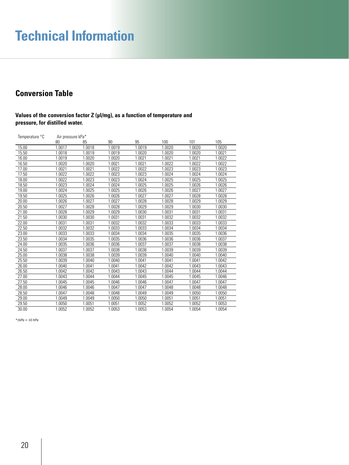# **Technical Information**

### **Conversion Table**

### Values of the conversion factor Z (µI/mg), as a function of temperature and **pressure, for distilled water.**

| Temperature °C | Air pressure kPa* |        |        |        |        |        |        |
|----------------|-------------------|--------|--------|--------|--------|--------|--------|
|                | 80                | 85     | 90     | 95     | 100    | 101    | 105    |
| 15.00          | 1.0017            | 1.0018 | 1.0019 | 1.0019 | 1.0020 | 1.0020 | 1.0020 |
| 15.50          | 1.0018            | 1.0019 | 1.0019 | 1.0020 | 1.0020 | 1.0020 | 1.0021 |
| 16.00          | 1.0019            | 1.0020 | 1.0020 | 1.0021 | 1.0021 | 1.0021 | 1.0022 |
| 16.50          | 1.0020            | 1.0020 | 1.0021 | 1.0021 | 1.0022 | 1.0022 | 1.0022 |
| 17.00          | 1.0021            | 1.0021 | 1.0022 | 1.0022 | 1.0023 | 1.0023 | 1.0023 |
| 17.50          | 1.0022            | 1.0022 | 1.0023 | 1.0023 | 1.0024 | 1.0024 | 1.0024 |
| 18.00          | 1.0022            | 1.0023 | 1.0023 | 1.0024 | 1.0025 | 1.0025 | 1.0025 |
| 18.50          | 1.0023            | 1.0024 | 1.0024 | 1.0025 | 1.0025 | 1.0026 | 1.0026 |
| 19.00          | 1.0024            | 1.0025 | 1.0025 | 1.0026 | 1.0026 | 1.0027 | 1.0027 |
| 19.50          | 1.0025            | 1.0026 | 1.0026 | 1.0027 | 1.0027 | 1.0028 | 1.0028 |
| 20.00          | 1.0026            | 1.0027 | 1.0027 | 1.0028 | 1.0028 | 1.0029 | 1.0029 |
| 20.50          | 1.0027            | 1.0028 | 1.0028 | 1.0029 | 1.0029 | 1.0030 | 1.0030 |
| 21.00          | 1.0028            | 1.0029 | 1.0029 | 1.0030 | 1.0031 | 1.0031 | 1.0031 |
| 21.50          | 1.0030            | 1.0030 | 1.0031 | 1.0031 | 1.0032 | 1.0032 | 1.0032 |
| 22.00          | 1.0031            | 1.0031 | 1.0032 | 1.0032 | 1.0033 | 1.0033 | 1.0033 |
| 22.50          | 1.0032            | 1.0032 | 1.0033 | 1.0033 | 1.0034 | 1.0034 | 1.0034 |
| 23.00          | 1.0033            | 1.0033 | 1.0034 | 1.0034 | 1.0035 | 1.0035 | 1.0036 |
| 23.50          | 1.0034            | 1.0035 | 1.0035 | 1.0036 | 1.0036 | 1.0036 | 1.0037 |
| 24.00          | 1.0035            | 1.0036 | 1.0036 | 1.0037 | 1.0037 | 1.0038 | 1.0038 |
| 24.50          | 1.0037            | 1.0037 | 1.0038 | 1.0038 | 1.0039 | 1.0039 | 1.0039 |
| 25.00          | 1.0038            | 1.0038 | 1.0039 | 1.0039 | 1.0040 | 1.0040 | 1.0040 |
| 25.50          | 1.0039            | 1.0040 | 1.0040 | 1.0041 | 1.0041 | 1.0041 | 1.0042 |
| 26.00          | 1.0040            | 1.0041 | 1.0041 | 1.0042 | 1.0042 | 1.0043 | 1.0043 |
| 26.50          | 1.0042            | 1.0042 | 1.0043 | 1.0043 | 1.0044 | 1.0044 | 1.0044 |
| 27.00          | 1.0043            | 1.0044 | 1.0044 | 1.0045 | 1.0045 | 1.0045 | 1.0046 |
| 27.50          | 1.0045            | 1.0045 | 1.0046 | 1.0046 | 1.0047 | 1.0047 | 1.0047 |
| 28.00          | 1.0046            | 1.0046 | 1.0047 | 1.0047 | 1.0048 | 1.0048 | 1.0048 |
| 28.50          | 1.0047            | 1.0048 | 1.0048 | 1.0049 | 1.0049 | 1.0050 | 1.0050 |
| 29.00          | 1.0049            | 1.0049 | 1.0050 | 1.0050 | 1.0051 | 1.0051 | 1.0051 |
| 29.50          | 1.0050            | 1.0051 | 1.0051 | 1.0052 | 1.0052 | 1.0052 | 1.0053 |
| 30.00          | 1.0052            | 1.0052 | 1.0053 | 1.0053 | 1.0054 | 1.0054 | 1.0054 |

*\*1kPa = 10 hPa*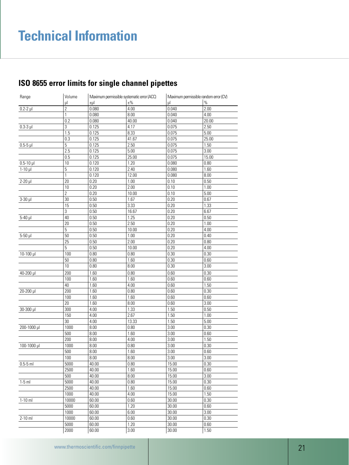| Range         | Volume          |       | Maximum permissible systematic error (ACC) |       | Maximum permissible random error (CV) |
|---------------|-----------------|-------|--------------------------------------------|-------|---------------------------------------|
|               | μl              | ±µl   | $\pm\%$                                    | ul    | $\%$                                  |
| $0.2 - 2$ µ   | $\overline{2}$  | 0.080 | 4.00                                       | 0.040 | 2.00                                  |
|               | 1               | 0.080 | 8.00                                       | 0.040 | 4.00                                  |
|               | 0.2             | 0.080 | $\overline{40.00}$                         | 0.040 | 20.00                                 |
| $0.3-3$ $\mu$ | $\overline{3}$  | 0.125 | 4.17                                       | 0.075 | 2.50                                  |
|               | 1.5             | 0.125 | 8.33                                       | 0.075 | 5.00                                  |
|               | 0.3             | 0.125 | 41.67                                      | 0.075 | 25.00                                 |
| $0.5-5$ µ     | 5               | 0.125 | 2.50                                       | 0.075 | 1.50                                  |
|               | 2.5             | 0.125 | 5.00                                       | 0.075 | 3.00                                  |
|               | 0.5             | 0.125 | 25.00                                      | 0.075 | 15.00                                 |
| $0.5 - 10$ µ  | 10              | 0.120 | 1.20                                       | 0.080 | 0.80                                  |
| $1-10$ µ      | 5               | 0.120 | 2.40                                       | 0.080 | 1.60                                  |
|               | $\mathbf{1}$    | 0.120 | 12.00                                      | 0.080 | 8.00                                  |
| $2-20$ µ      | 20              | 0.20  | 1.00                                       | 0.10  | 0.50                                  |
|               | 10              | 0.20  | 2.00                                       | 0.10  | 1.00                                  |
|               | $\overline{2}$  | 0.20  | 10.00                                      | 0.10  | 5.00                                  |
| $3-30$ $\mu$  | 30              | 0.50  | 1.67                                       | 0.20  | 0.67                                  |
|               | 15              | 0.50  | 3.33                                       | 0.20  | 1.33                                  |
|               | 3               | 0.50  | 16.67                                      | 0.20  | 6.67                                  |
| $5-40$ µ      | 40              | 0.50  | 1.25                                       | 0.20  | 0.50                                  |
|               | 20              | 0.50  | 2.50                                       | 0.20  | 1.00                                  |
|               | 5               | 0.50  | 10.00                                      | 0.20  | 4.00                                  |
| $5-50$ $\mu$  | 50              | 0.50  | 1.00                                       | 0.20  | 0.40                                  |
|               | $\overline{25}$ | 0.50  | 2.00                                       | 0.20  | 0.80                                  |
|               | 5               | 0.50  | 10.00                                      | 0.20  | 4.00                                  |
| $10-100$ µl   | 100             | 0.80  | 0.80                                       | 0.30  | 0.30                                  |
|               | 50              | 0.80  | 1.60                                       | 0.30  | 0.60                                  |
|               | 10              | 0.80  | 8.00                                       | 0.30  | 3.00                                  |
|               |                 |       |                                            |       |                                       |
| 40-200 µl     | 200             | 1.60  | 0.80                                       | 0.60  | 0.30                                  |
|               | 100             | 1.60  | 1.60                                       | 0.60  | 0.60                                  |
|               | 40              | 1.60  | 4.00                                       | 0.60  | 1.50                                  |
| 20-200 µl     | 200             | 1.60  | 0.80                                       | 0.60  | 0.30                                  |
|               | 100             | 1.60  | 1.60                                       | 0.60  | 0.60                                  |
|               | 20              | 1.60  | 8.00                                       | 0.60  | 3.00                                  |
| $30 - 300$ µ  | 300             | 4.00  | 1.33                                       | 1.50  | 0.50                                  |
|               | 150             | 4.00  | 2.67                                       | 1.50  | 1.00                                  |
|               | 30              | 4.00  | 13.33                                      | 1.50  | 5.00                                  |
| 200-1000 µl   | 1000            | 8.00  | 0.80                                       | 3.00  | 0.30                                  |
|               | 500             | 8.00  | 1.60                                       | 3.00  | 0.60                                  |
|               | 200             | 8.00  | 4.00                                       | 3.00  | 1.50                                  |
| 100-1000 µl   | 1000            | 8.00  | 0.80                                       | 3.00  | 0.30                                  |
|               | 500             | 8.00  | 1.60                                       | 3.00  | 0.60                                  |
|               | 100             | 8.00  | 8.00                                       | 3.00  | 3.00                                  |
| $0.5 - 5$ ml  | 5000            | 40.00 | 0.80                                       | 15.00 | 0.30                                  |
|               | 2500            | 40.00 | 1.60                                       | 15.00 | 0.60                                  |
|               | 500             | 40.00 | 8.00                                       | 15.00 | 3.00                                  |
| $1-5$ ml      | 5000            | 40.00 | 0.80                                       | 15.00 | 0.30                                  |
|               | 2500            | 40.00 | 1.60                                       | 15.00 | 0.60                                  |
|               | 1000            | 40.00 | 4.00                                       | 15.00 | 1.50                                  |
| $1-10$ ml     | 10000           | 60.00 | 0.60                                       | 30.00 | 0.30                                  |
|               | 5000            | 60.00 | 1.20                                       | 30.00 | 0.60                                  |
|               | 1000            | 60.00 | 6.00                                       | 30.00 | 3.00                                  |
| $2-10$ ml     | 10000           | 60.00 | 0.60                                       | 30.00 | 0.30                                  |
|               | 5000            | 60.00 | 1.20                                       | 30.00 | 0.60                                  |

2000 60.00 3.00 30.00 1.50

### **ISO 8655 error limits for single channel pipettes**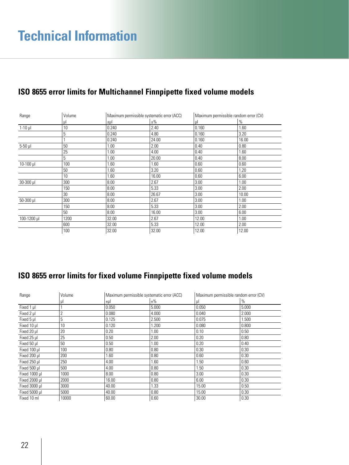| Range         | Volume |             | Maximum permissible systematic error (ACC) |       | Maximum permissible random error (CV) |  |
|---------------|--------|-------------|--------------------------------------------|-------|---------------------------------------|--|
|               | μl     | $\pm \mu I$ | $±\%$                                      | μl    | $\%$                                  |  |
| $1-10$ $\mu$  | 10     | 0.240       | 2.40                                       | 0.160 | 1.60                                  |  |
|               | 5      | 0.240       | 4.80                                       | 0.160 | 3.20                                  |  |
|               |        | 0.240       | 24.00                                      | 0.160 | 16.00                                 |  |
| $5-50$ $\mu$  | 50     | 1.00        | 2.00                                       | 0.40  | 0.80                                  |  |
|               | 25     | 1.00        | 4.00                                       | 0.40  | 1.60                                  |  |
|               | 5      | 1.00        | 20.00                                      | 0.40  | 8.00                                  |  |
| $10-100$ µ    | 100    | 1.60        | 1.60                                       | 0.60  | 0.60                                  |  |
|               | 50     | 1.60        | 3.20                                       | 0.60  | 1.20                                  |  |
|               | 10     | 1.60        | 16.00                                      | 0.60  | 6.00                                  |  |
| 30-300 µl     | 300    | 8.00        | 2.67                                       | 3.00  | 1.00                                  |  |
|               | 150    | 8.00        | 5.33                                       | 3.00  | 2.00                                  |  |
|               | 30     | 8.00        | 26.67                                      | 3.00  | 10.00                                 |  |
| $50 - 300$ µl | 300    | 8.00        | 2.67                                       | 3.00  | 1.00                                  |  |
|               | 150    | 8.00        | 5.33                                       | 3.00  | 2.00                                  |  |
|               | 50     | 8.00        | 16.00                                      | 3.00  | 6.00                                  |  |
| 100-1200 µl   | 1200   | 32.00       | 2.67                                       | 12.00 | 1.00                                  |  |
|               | 600    | 32.00       | 5.33                                       | 12.00 | 2.00                                  |  |
|               | 100    | 32.00       | 32.00                                      | 12.00 | 12.00                                 |  |

### **ISO 8655 error limits for fixed volume Finnpipette fixed volume models**

| Range         | Volume | Maximum permissible systematic error (ACC) |         | Maximum permissible random error (CV) |       |
|---------------|--------|--------------------------------------------|---------|---------------------------------------|-------|
|               | μI     | $\pm \mu$                                  | $\pm\%$ | ul                                    | $\%$  |
| Fixed 1 µl    |        | 0.050                                      | 5.000   | 0.050                                 | 5.000 |
| Fixed 2 µl    | 2      | 0.080                                      | 4.000   | 0.040                                 | 2.000 |
| Fixed 5 µl    | 5      | 0.125                                      | 2.500   | 0.075                                 | 1.500 |
| Fixed 10 µl   | 10     | 0.120                                      | 1.200   | 0.080                                 | 0.800 |
| Fixed 20 µl   | 20     | 0.20                                       | 1.00    | 0.10                                  | 0.50  |
| Fixed 25 µl   | 25     | 0.50                                       | 2.00    | 0.20                                  | 0.80  |
| Fixed 50 µl   | 50     | 0.50                                       | 1.00    | 0.20                                  | 0.40  |
| Fixed 100 ul  | 100    | 0.80                                       | 0.80    | 0.30                                  | 0.30  |
| Fixed 200 µl  | 200    | 1.60                                       | 0.80    | 0.60                                  | 0.30  |
| Fixed 250 µl  | 250    | 4.00                                       | 1.60    | 1.50                                  | 0.60  |
| Fixed 500 µl  | 500    | 4.00                                       | 0.80    | 1.50                                  | 0.30  |
| Fixed 1000 µl | 1000   | 8.00                                       | 0.80    | 3.00                                  | 0.30  |
| Fixed 2000 µl | 2000   | 16.00                                      | 0.80    | 6.00                                  | 0.30  |
| Fixed 3000 µl | 3000   | 40.00                                      | 1.33    | 15.00                                 | 0.50  |
| Fixed 5000 µl | 5000   | 40.00                                      | 0.80    | 15.00                                 | 0.30  |
| Fixed 10 ml   | 10000  | 60.00                                      | 0.60    | 30.00                                 | 0.30  |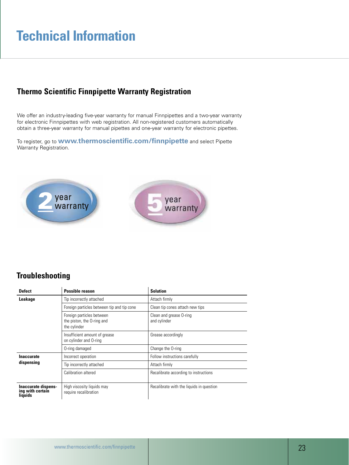## **Technical Information**

### **Thermo Scientific Finnpipette Warranty Registration**

We offer an industry-leading five-year warranty for manual Finnpipettes and a two-year warranty for electronic Finnpipettes with web registration. All non-registered customers automatically obtain a three-year warranty for manual pipettes and one-year warranty for electronic pipettes.

To register, go to **www.thermoscientific.com/finnpipette** and select Pipette Warranty Registration.



### **Troubleshooting**

| <b>Defect</b>                                      | <b>Possible reason</b>                                                  | <b>Solution</b>                          |  |
|----------------------------------------------------|-------------------------------------------------------------------------|------------------------------------------|--|
| Leakage                                            | Tip incorrectly attached                                                | Attach firmly                            |  |
|                                                    | Foreign particles between tip and tip cone                              | Clean tip cones attach new tips          |  |
|                                                    | Foreign particles between<br>the piston, the O-ring and<br>the cylinder | Clean and grease O-ring<br>and cylinder  |  |
|                                                    | Insufficient amount of grease<br>on cylinder and O-ring                 | Grease accordingly                       |  |
|                                                    | 0-ring damaged                                                          | Change the O-ring                        |  |
| <b>Inaccurate</b>                                  | Incorrect operation                                                     | Follow instructions carefully            |  |
| dispensing                                         | Tip incorrectly attached                                                | Attach firmly                            |  |
|                                                    | Calibration altered                                                     | Recalibrate according to instructions    |  |
| Inaccurate dispens-<br>ing with certain<br>liquids | High viscosity liquids may<br>require recalibration                     | Recalibrate with the liquids in question |  |